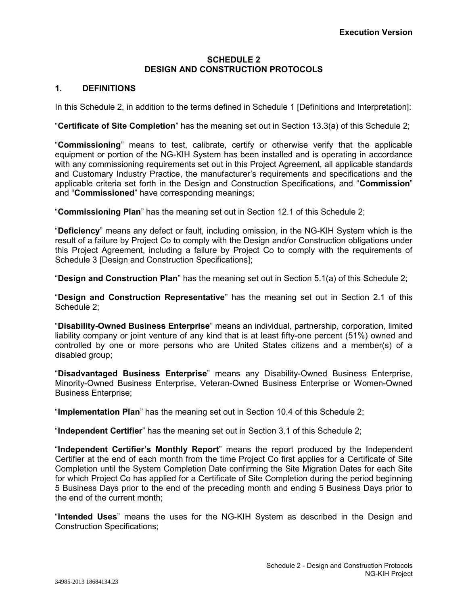## **SCHEDULE 2 DESIGN AND CONSTRUCTION PROTOCOLS**

# **1. DEFINITIONS**

In this Schedule 2, in addition to the terms defined in Schedule 1 [Definitions and Interpretation]:

"**Certificate of Site Completion**" has the meaning set out in Section 13.3(a) of this Schedule 2;

"**Commissioning**" means to test, calibrate, certify or otherwise verify that the applicable equipment or portion of the NG-KIH System has been installed and is operating in accordance with any commissioning requirements set out in this Project Agreement, all applicable standards and Customary Industry Practice, the manufacturer's requirements and specifications and the applicable criteria set forth in the Design and Construction Specifications, and "**Commission**" and "**Commissioned**" have corresponding meanings;

"**Commissioning Plan**" has the meaning set out in Section 12.1 of this Schedule 2;

"**Deficiency**" means any defect or fault, including omission, in the NG-KIH System which is the result of a failure by Project Co to comply with the Design and/or Construction obligations under this Project Agreement, including a failure by Project Co to comply with the requirements of Schedule 3 [Design and Construction Specifications];

"**Design and Construction Plan**" has the meaning set out in Section 5.1(a) of this Schedule 2;

"**Design and Construction Representative**" has the meaning set out in Section 2.1 of this Schedule 2;

"**Disability-Owned Business Enterprise**" means an individual, partnership, corporation, limited liability company or joint venture of any kind that is at least fifty-one percent (51%) owned and controlled by one or more persons who are United States citizens and a member(s) of a disabled group;

"**Disadvantaged Business Enterprise**" means any Disability-Owned Business Enterprise, Minority-Owned Business Enterprise, Veteran-Owned Business Enterprise or Women-Owned Business Enterprise;

"**Implementation Plan**" has the meaning set out in Section 10.4 of this Schedule 2;

"**Independent Certifier**" has the meaning set out in Section 3.1 of this Schedule 2;

"**Independent Certifier's Monthly Report**" means the report produced by the Independent Certifier at the end of each month from the time Project Co first applies for a Certificate of Site Completion until the System Completion Date confirming the Site Migration Dates for each Site for which Project Co has applied for a Certificate of Site Completion during the period beginning 5 Business Days prior to the end of the preceding month and ending 5 Business Days prior to the end of the current month;

"**Intended Uses**" means the uses for the NG-KIH System as described in the Design and Construction Specifications;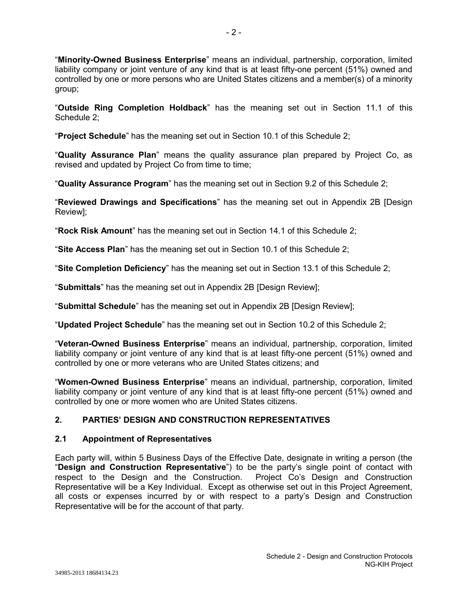"**Minority-Owned Business Enterprise**" means an individual, partnership, corporation, limited liability company or joint venture of any kind that is at least fifty-one percent (51%) owned and controlled by one or more persons who are United States citizens and a member(s) of a minority group;

"**Outside Ring Completion Holdback**" has the meaning set out in Section 11.1 of this Schedule 2;

"**Project Schedule**" has the meaning set out in Section 10.1 of this Schedule 2;

"**Quality Assurance Plan**" means the quality assurance plan prepared by Project Co, as revised and updated by Project Co from time to time;

"**Quality Assurance Program**" has the meaning set out in Section 9.2 of this Schedule 2;

"**Reviewed Drawings and Specifications**" has the meaning set out in Appendix 2B [Design Review];

"**Rock Risk Amount**" has the meaning set out in Section 14.1 of this Schedule 2;

"**Site Access Plan**" has the meaning set out in Section 10.1 of this Schedule 2;

"**Site Completion Deficiency**" has the meaning set out in Section 13.1 of this Schedule 2;

"**Submittals**" has the meaning set out in Appendix 2B [Design Review];

"**Submittal Schedule**" has the meaning set out in Appendix 2B [Design Review];

"**Updated Project Schedule**" has the meaning set out in Section 10.2 of this Schedule 2;

"**Veteran-Owned Business Enterprise**" means an individual, partnership, corporation, limited liability company or joint venture of any kind that is at least fifty-one percent (51%) owned and controlled by one or more veterans who are United States citizens; and

"**Women-Owned Business Enterprise**" means an individual, partnership, corporation, limited liability company or joint venture of any kind that is at least fifty-one percent (51%) owned and controlled by one or more women who are United States citizens.

# **2. PARTIES' DESIGN AND CONSTRUCTION REPRESENTATIVES**

# **2.1 Appointment of Representatives**

Each party will, within 5 Business Days of the Effective Date, designate in writing a person (the "**Design and Construction Representative**") to be the party's single point of contact with respect to the Design and the Construction. Representative will be a Key Individual. Except as otherwise set out in this Project Agreement, all costs or expenses incurred by or with respect to a party's Design and Construction Representative will be for the account of that party.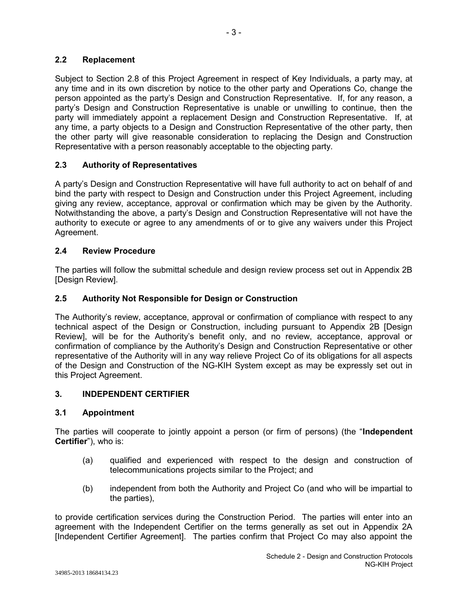# **2.2 Replacement**

Subject to Section 2.8 of this Project Agreement in respect of Key Individuals, a party may, at any time and in its own discretion by notice to the other party and Operations Co, change the person appointed as the party's Design and Construction Representative. If, for any reason, a party's Design and Construction Representative is unable or unwilling to continue, then the party will immediately appoint a replacement Design and Construction Representative. If, at any time, a party objects to a Design and Construction Representative of the other party, then the other party will give reasonable consideration to replacing the Design and Construction Representative with a person reasonably acceptable to the objecting party.

- 3 -

## **2.3 Authority of Representatives**

A party's Design and Construction Representative will have full authority to act on behalf of and bind the party with respect to Design and Construction under this Project Agreement, including giving any review, acceptance, approval or confirmation which may be given by the Authority. Notwithstanding the above, a party's Design and Construction Representative will not have the authority to execute or agree to any amendments of or to give any waivers under this Project Agreement.

## **2.4 Review Procedure**

The parties will follow the submittal schedule and design review process set out in Appendix 2B [Design Review].

## **2.5 Authority Not Responsible for Design or Construction**

The Authority's review, acceptance, approval or confirmation of compliance with respect to any technical aspect of the Design or Construction, including pursuant to Appendix 2B [Design Review], will be for the Authority's benefit only, and no review, acceptance, approval or confirmation of compliance by the Authority's Design and Construction Representative or other representative of the Authority will in any way relieve Project Co of its obligations for all aspects of the Design and Construction of the NG-KIH System except as may be expressly set out in this Project Agreement.

#### **3. INDEPENDENT CERTIFIER**

#### **3.1 Appointment**

The parties will cooperate to jointly appoint a person (or firm of persons) (the "**Independent Certifier**"), who is:

- (a) qualified and experienced with respect to the design and construction of telecommunications projects similar to the Project; and
- (b) independent from both the Authority and Project Co (and who will be impartial to the parties),

to provide certification services during the Construction Period. The parties will enter into an agreement with the Independent Certifier on the terms generally as set out in Appendix 2A [Independent Certifier Agreement]. The parties confirm that Project Co may also appoint the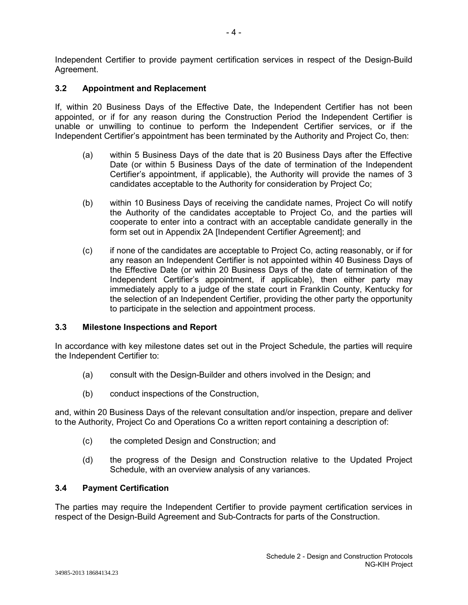Independent Certifier to provide payment certification services in respect of the Design-Build Agreement.

# **3.2 Appointment and Replacement**

If, within 20 Business Days of the Effective Date, the Independent Certifier has not been appointed, or if for any reason during the Construction Period the Independent Certifier is unable or unwilling to continue to perform the Independent Certifier services, or if the Independent Certifier's appointment has been terminated by the Authority and Project Co, then:

- (a) within 5 Business Days of the date that is 20 Business Days after the Effective Date (or within 5 Business Days of the date of termination of the Independent Certifier's appointment, if applicable), the Authority will provide the names of 3 candidates acceptable to the Authority for consideration by Project Co;
- (b) within 10 Business Days of receiving the candidate names, Project Co will notify the Authority of the candidates acceptable to Project Co, and the parties will cooperate to enter into a contract with an acceptable candidate generally in the form set out in Appendix 2A [Independent Certifier Agreement]; and
- (c) if none of the candidates are acceptable to Project Co, acting reasonably, or if for any reason an Independent Certifier is not appointed within 40 Business Days of the Effective Date (or within 20 Business Days of the date of termination of the Independent Certifier's appointment, if applicable), then either party may immediately apply to a judge of the state court in Franklin County, Kentucky for the selection of an Independent Certifier, providing the other party the opportunity to participate in the selection and appointment process.

# **3.3 Milestone Inspections and Report**

In accordance with key milestone dates set out in the Project Schedule, the parties will require the Independent Certifier to:

- (a) consult with the Design-Builder and others involved in the Design; and
- (b) conduct inspections of the Construction,

and, within 20 Business Days of the relevant consultation and/or inspection, prepare and deliver to the Authority, Project Co and Operations Co a written report containing a description of:

- (c) the completed Design and Construction; and
- (d) the progress of the Design and Construction relative to the Updated Project Schedule, with an overview analysis of any variances.

## **3.4 Payment Certification**

The parties may require the Independent Certifier to provide payment certification services in respect of the Design-Build Agreement and Sub-Contracts for parts of the Construction.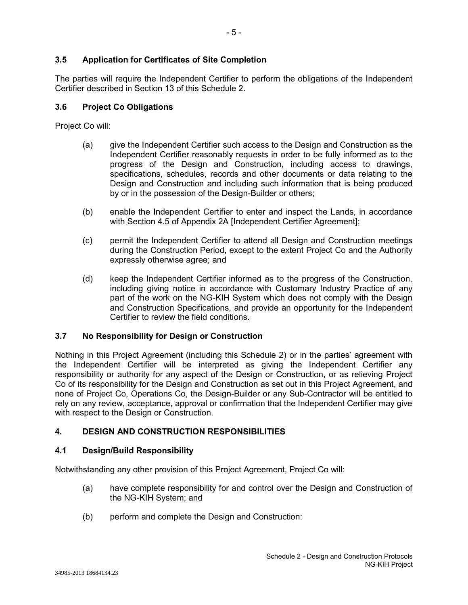# **3.5 Application for Certificates of Site Completion**

The parties will require the Independent Certifier to perform the obligations of the Independent Certifier described in Section 13 of this Schedule 2.

## **3.6 Project Co Obligations**

Project Co will:

- (a) give the Independent Certifier such access to the Design and Construction as the Independent Certifier reasonably requests in order to be fully informed as to the progress of the Design and Construction, including access to drawings, specifications, schedules, records and other documents or data relating to the Design and Construction and including such information that is being produced by or in the possession of the Design-Builder or others;
- (b) enable the Independent Certifier to enter and inspect the Lands, in accordance with Section 4.5 of Appendix 2A [Independent Certifier Agreement];
- (c) permit the Independent Certifier to attend all Design and Construction meetings during the Construction Period, except to the extent Project Co and the Authority expressly otherwise agree; and
- (d) keep the Independent Certifier informed as to the progress of the Construction, including giving notice in accordance with Customary Industry Practice of any part of the work on the NG-KIH System which does not comply with the Design and Construction Specifications, and provide an opportunity for the Independent Certifier to review the field conditions.

# **3.7 No Responsibility for Design or Construction**

Nothing in this Project Agreement (including this Schedule 2) or in the parties' agreement with the Independent Certifier will be interpreted as giving the Independent Certifier any responsibility or authority for any aspect of the Design or Construction, or as relieving Project Co of its responsibility for the Design and Construction as set out in this Project Agreement, and none of Project Co, Operations Co, the Design-Builder or any Sub-Contractor will be entitled to rely on any review, acceptance, approval or confirmation that the Independent Certifier may give with respect to the Design or Construction.

# **4. DESIGN AND CONSTRUCTION RESPONSIBILITIES**

#### **4.1 Design/Build Responsibility**

Notwithstanding any other provision of this Project Agreement, Project Co will:

- (a) have complete responsibility for and control over the Design and Construction of the NG-KIH System; and
- (b) perform and complete the Design and Construction: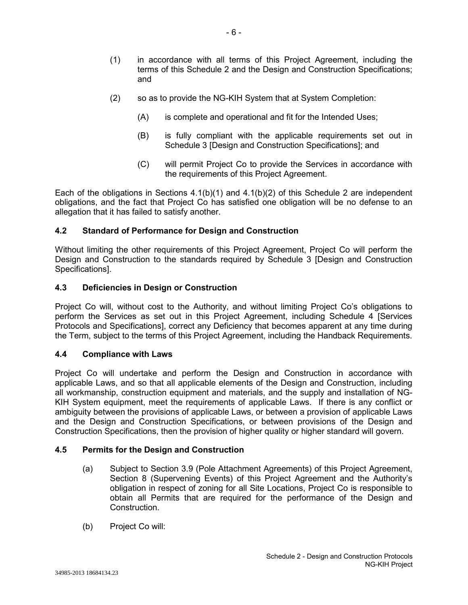- (1) in accordance with all terms of this Project Agreement, including the terms of this Schedule 2 and the Design and Construction Specifications; and
- (2) so as to provide the NG-KIH System that at System Completion:

- 6 -

- (A) is complete and operational and fit for the Intended Uses;
- (B) is fully compliant with the applicable requirements set out in Schedule 3 [Design and Construction Specifications]; and
- (C) will permit Project Co to provide the Services in accordance with the requirements of this Project Agreement.

Each of the obligations in Sections  $4.1(b)(1)$  and  $4.1(b)(2)$  of this Schedule 2 are independent obligations, and the fact that Project Co has satisfied one obligation will be no defense to an allegation that it has failed to satisfy another.

## **4.2 Standard of Performance for Design and Construction**

Without limiting the other requirements of this Project Agreement, Project Co will perform the Design and Construction to the standards required by Schedule 3 [Design and Construction Specifications].

#### **4.3 Deficiencies in Design or Construction**

Project Co will, without cost to the Authority, and without limiting Project Co's obligations to perform the Services as set out in this Project Agreement, including Schedule 4 [Services Protocols and Specifications], correct any Deficiency that becomes apparent at any time during the Term, subject to the terms of this Project Agreement, including the Handback Requirements.

#### **4.4 Compliance with Laws**

Project Co will undertake and perform the Design and Construction in accordance with applicable Laws, and so that all applicable elements of the Design and Construction, including all workmanship, construction equipment and materials, and the supply and installation of NG-KIH System equipment, meet the requirements of applicable Laws. If there is any conflict or ambiguity between the provisions of applicable Laws, or between a provision of applicable Laws and the Design and Construction Specifications, or between provisions of the Design and Construction Specifications, then the provision of higher quality or higher standard will govern.

#### **4.5 Permits for the Design and Construction**

- (a) Subject to Section 3.9 (Pole Attachment Agreements) of this Project Agreement, Section 8 (Supervening Events) of this Project Agreement and the Authority's obligation in respect of zoning for all Site Locations, Project Co is responsible to obtain all Permits that are required for the performance of the Design and Construction.
- (b) Project Co will: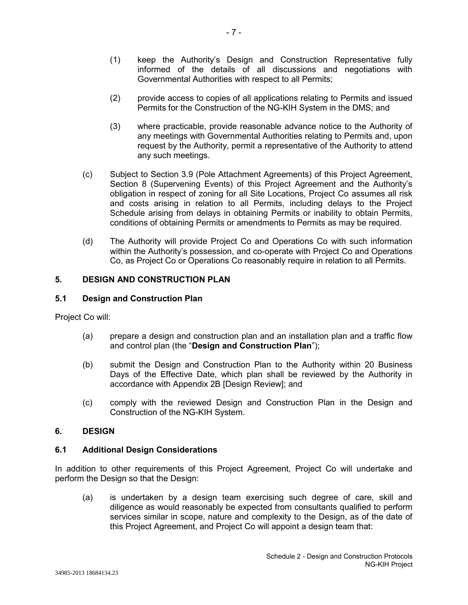- (1) keep the Authority's Design and Construction Representative fully informed of the details of all discussions and negotiations with Governmental Authorities with respect to all Permits;
- (2) provide access to copies of all applications relating to Permits and issued Permits for the Construction of the NG-KIH System in the DMS; and
- (3) where practicable, provide reasonable advance notice to the Authority of any meetings with Governmental Authorities relating to Permits and, upon request by the Authority, permit a representative of the Authority to attend any such meetings.
- (c) Subject to Section 3.9 (Pole Attachment Agreements) of this Project Agreement, Section 8 (Supervening Events) of this Project Agreement and the Authority's obligation in respect of zoning for all Site Locations, Project Co assumes all risk and costs arising in relation to all Permits, including delays to the Project Schedule arising from delays in obtaining Permits or inability to obtain Permits, conditions of obtaining Permits or amendments to Permits as may be required.
- (d) The Authority will provide Project Co and Operations Co with such information within the Authority's possession, and co-operate with Project Co and Operations Co, as Project Co or Operations Co reasonably require in relation to all Permits.

# **5. DESIGN AND CONSTRUCTION PLAN**

# **5.1 Design and Construction Plan**

Project Co will:

- (a) prepare a design and construction plan and an installation plan and a traffic flow and control plan (the "**Design and Construction Plan**");
- (b) submit the Design and Construction Plan to the Authority within 20 Business Days of the Effective Date, which plan shall be reviewed by the Authority in accordance with Appendix 2B [Design Review]; and
- (c) comply with the reviewed Design and Construction Plan in the Design and Construction of the NG-KIH System.

#### **6. DESIGN**

#### **6.1 Additional Design Considerations**

In addition to other requirements of this Project Agreement, Project Co will undertake and perform the Design so that the Design:

(a) is undertaken by a design team exercising such degree of care, skill and diligence as would reasonably be expected from consultants qualified to perform services similar in scope, nature and complexity to the Design, as of the date of this Project Agreement, and Project Co will appoint a design team that: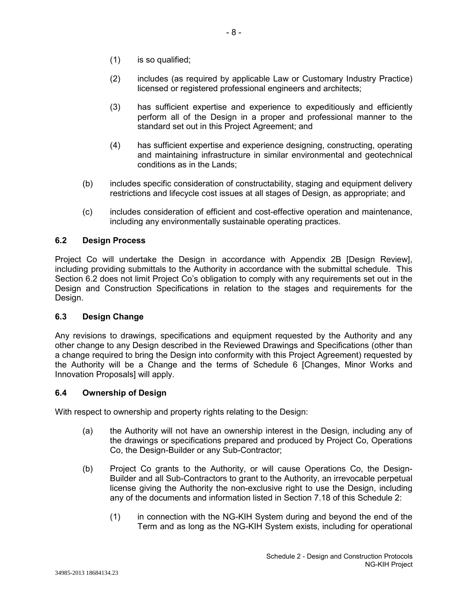- (1) is so qualified;
- (2) includes (as required by applicable Law or Customary Industry Practice) licensed or registered professional engineers and architects;
- (3) has sufficient expertise and experience to expeditiously and efficiently perform all of the Design in a proper and professional manner to the standard set out in this Project Agreement; and
- (4) has sufficient expertise and experience designing, constructing, operating and maintaining infrastructure in similar environmental and geotechnical conditions as in the Lands;
- (b) includes specific consideration of constructability, staging and equipment delivery restrictions and lifecycle cost issues at all stages of Design, as appropriate; and
- (c) includes consideration of efficient and cost-effective operation and maintenance, including any environmentally sustainable operating practices.

# **6.2 Design Process**

Project Co will undertake the Design in accordance with Appendix 2B [Design Review], including providing submittals to the Authority in accordance with the submittal schedule. This Section 6.2 does not limit Project Co's obligation to comply with any requirements set out in the Design and Construction Specifications in relation to the stages and requirements for the Design.

# **6.3 Design Change**

Any revisions to drawings, specifications and equipment requested by the Authority and any other change to any Design described in the Reviewed Drawings and Specifications (other than a change required to bring the Design into conformity with this Project Agreement) requested by the Authority will be a Change and the terms of Schedule 6 [Changes, Minor Works and Innovation Proposals] will apply.

# **6.4 Ownership of Design**

With respect to ownership and property rights relating to the Design:

- (a) the Authority will not have an ownership interest in the Design, including any of the drawings or specifications prepared and produced by Project Co, Operations Co, the Design-Builder or any Sub-Contractor;
- (b) Project Co grants to the Authority, or will cause Operations Co, the Design-Builder and all Sub-Contractors to grant to the Authority, an irrevocable perpetual license giving the Authority the non-exclusive right to use the Design, including any of the documents and information listed in Section 7.18 of this Schedule 2:
	- (1) in connection with the NG-KIH System during and beyond the end of the Term and as long as the NG-KIH System exists, including for operational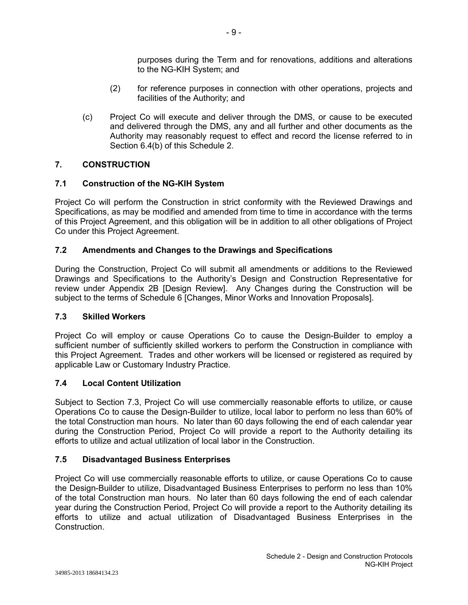purposes during the Term and for renovations, additions and alterations to the NG-KIH System; and

- (2) for reference purposes in connection with other operations, projects and facilities of the Authority; and
- (c) Project Co will execute and deliver through the DMS, or cause to be executed and delivered through the DMS, any and all further and other documents as the Authority may reasonably request to effect and record the license referred to in Section 6.4(b) of this Schedule 2.

# **7. CONSTRUCTION**

# **7.1 Construction of the NG-KIH System**

Project Co will perform the Construction in strict conformity with the Reviewed Drawings and Specifications, as may be modified and amended from time to time in accordance with the terms of this Project Agreement, and this obligation will be in addition to all other obligations of Project Co under this Project Agreement.

# **7.2 Amendments and Changes to the Drawings and Specifications**

During the Construction, Project Co will submit all amendments or additions to the Reviewed Drawings and Specifications to the Authority's Design and Construction Representative for review under Appendix 2B [Design Review]. Any Changes during the Construction will be subject to the terms of Schedule 6 [Changes, Minor Works and Innovation Proposals].

# **7.3 Skilled Workers**

Project Co will employ or cause Operations Co to cause the Design-Builder to employ a sufficient number of sufficiently skilled workers to perform the Construction in compliance with this Project Agreement. Trades and other workers will be licensed or registered as required by applicable Law or Customary Industry Practice.

# **7.4 Local Content Utilization**

Subject to Section 7.3, Project Co will use commercially reasonable efforts to utilize, or cause Operations Co to cause the Design-Builder to utilize, local labor to perform no less than 60% of the total Construction man hours. No later than 60 days following the end of each calendar year during the Construction Period, Project Co will provide a report to the Authority detailing its efforts to utilize and actual utilization of local labor in the Construction.

# **7.5 Disadvantaged Business Enterprises**

Project Co will use commercially reasonable efforts to utilize, or cause Operations Co to cause the Design-Builder to utilize, Disadvantaged Business Enterprises to perform no less than 10% of the total Construction man hours. No later than 60 days following the end of each calendar year during the Construction Period, Project Co will provide a report to the Authority detailing its efforts to utilize and actual utilization of Disadvantaged Business Enterprises in the Construction.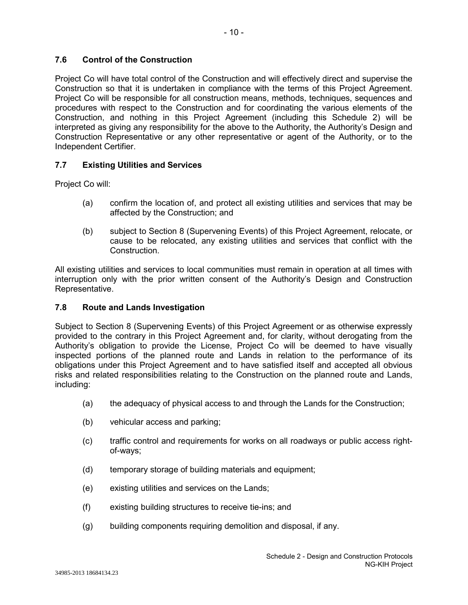# **7.6 Control of the Construction**

Project Co will have total control of the Construction and will effectively direct and supervise the Construction so that it is undertaken in compliance with the terms of this Project Agreement. Project Co will be responsible for all construction means, methods, techniques, sequences and procedures with respect to the Construction and for coordinating the various elements of the Construction, and nothing in this Project Agreement (including this Schedule 2) will be interpreted as giving any responsibility for the above to the Authority, the Authority's Design and Construction Representative or any other representative or agent of the Authority, or to the Independent Certifier.

# **7.7 Existing Utilities and Services**

Project Co will:

- (a) confirm the location of, and protect all existing utilities and services that may be affected by the Construction; and
- (b) subject to Section 8 (Supervening Events) of this Project Agreement, relocate, or cause to be relocated, any existing utilities and services that conflict with the Construction.

All existing utilities and services to local communities must remain in operation at all times with interruption only with the prior written consent of the Authority's Design and Construction Representative.

# **7.8 Route and Lands Investigation**

Subject to Section 8 (Supervening Events) of this Project Agreement or as otherwise expressly provided to the contrary in this Project Agreement and, for clarity, without derogating from the Authority's obligation to provide the License, Project Co will be deemed to have visually inspected portions of the planned route and Lands in relation to the performance of its obligations under this Project Agreement and to have satisfied itself and accepted all obvious risks and related responsibilities relating to the Construction on the planned route and Lands, including:

- (a) the adequacy of physical access to and through the Lands for the Construction;
- (b) vehicular access and parking;
- (c) traffic control and requirements for works on all roadways or public access rightof-ways;
- (d) temporary storage of building materials and equipment;
- (e) existing utilities and services on the Lands;
- (f) existing building structures to receive tie-ins; and
- (g) building components requiring demolition and disposal, if any.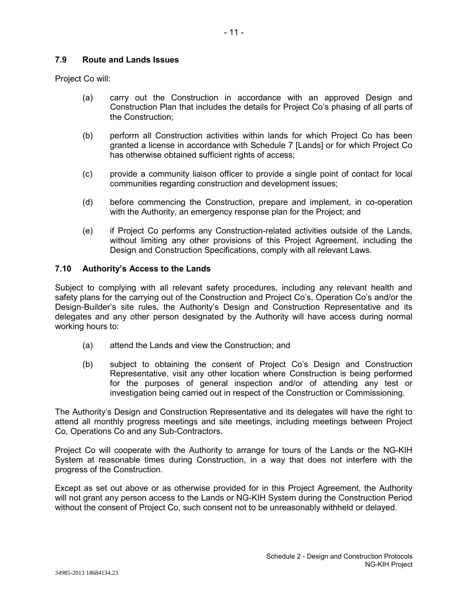## **7.9 Route and Lands Issues**

Project Co will:

- (a) carry out the Construction in accordance with an approved Design and Construction Plan that includes the details for Project Co's phasing of all parts of the Construction;
- (b) perform all Construction activities within lands for which Project Co has been granted a license in accordance with Schedule 7 [Lands] or for which Project Co has otherwise obtained sufficient rights of access;
- (c) provide a community liaison officer to provide a single point of contact for local communities regarding construction and development issues;
- (d) before commencing the Construction, prepare and implement, in co-operation with the Authority, an emergency response plan for the Project; and
- (e) if Project Co performs any Construction-related activities outside of the Lands, without limiting any other provisions of this Project Agreement, including the Design and Construction Specifications, comply with all relevant Laws.

## **7.10 Authority's Access to the Lands**

Subject to complying with all relevant safety procedures, including any relevant health and safety plans for the carrying out of the Construction and Project Co's, Operation Co's and/or the Design-Builder's site rules, the Authority's Design and Construction Representative and its delegates and any other person designated by the Authority will have access during normal working hours to:

- (a) attend the Lands and view the Construction; and
- (b) subject to obtaining the consent of Project Co's Design and Construction Representative, visit any other location where Construction is being performed for the purposes of general inspection and/or of attending any test or investigation being carried out in respect of the Construction or Commissioning.

The Authority's Design and Construction Representative and its delegates will have the right to attend all monthly progress meetings and site meetings, including meetings between Project Co, Operations Co and any Sub-Contractors.

Project Co will cooperate with the Authority to arrange for tours of the Lands or the NG-KIH System at reasonable times during Construction, in a way that does not interfere with the progress of the Construction.

Except as set out above or as otherwise provided for in this Project Agreement, the Authority will not grant any person access to the Lands or NG-KIH System during the Construction Period without the consent of Project Co, such consent not to be unreasonably withheld or delayed.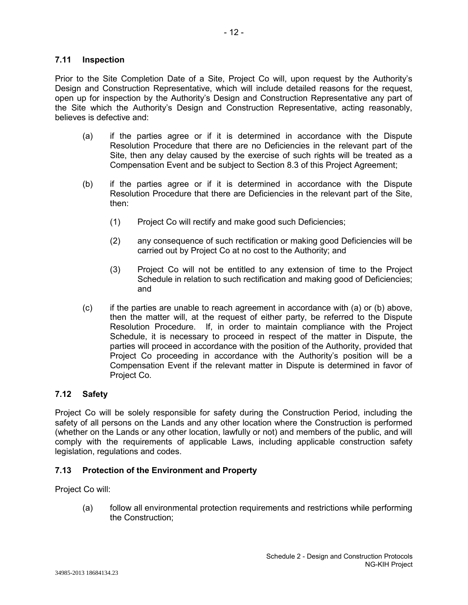## **7.11 Inspection**

Prior to the Site Completion Date of a Site, Project Co will, upon request by the Authority's Design and Construction Representative, which will include detailed reasons for the request, open up for inspection by the Authority's Design and Construction Representative any part of the Site which the Authority's Design and Construction Representative, acting reasonably, believes is defective and:

- (a) if the parties agree or if it is determined in accordance with the Dispute Resolution Procedure that there are no Deficiencies in the relevant part of the Site, then any delay caused by the exercise of such rights will be treated as a Compensation Event and be subject to Section 8.3 of this Project Agreement;
- (b) if the parties agree or if it is determined in accordance with the Dispute Resolution Procedure that there are Deficiencies in the relevant part of the Site, then:
	- (1) Project Co will rectify and make good such Deficiencies;
	- (2) any consequence of such rectification or making good Deficiencies will be carried out by Project Co at no cost to the Authority; and
	- (3) Project Co will not be entitled to any extension of time to the Project Schedule in relation to such rectification and making good of Deficiencies; and
- (c) if the parties are unable to reach agreement in accordance with (a) or (b) above, then the matter will, at the request of either party, be referred to the Dispute Resolution Procedure. If, in order to maintain compliance with the Project Schedule, it is necessary to proceed in respect of the matter in Dispute, the parties will proceed in accordance with the position of the Authority, provided that Project Co proceeding in accordance with the Authority's position will be a Compensation Event if the relevant matter in Dispute is determined in favor of Project Co.

# **7.12 Safety**

Project Co will be solely responsible for safety during the Construction Period, including the safety of all persons on the Lands and any other location where the Construction is performed (whether on the Lands or any other location, lawfully or not) and members of the public, and will comply with the requirements of applicable Laws, including applicable construction safety legislation, regulations and codes.

# **7.13 Protection of the Environment and Property**

Project Co will:

(a) follow all environmental protection requirements and restrictions while performing the Construction;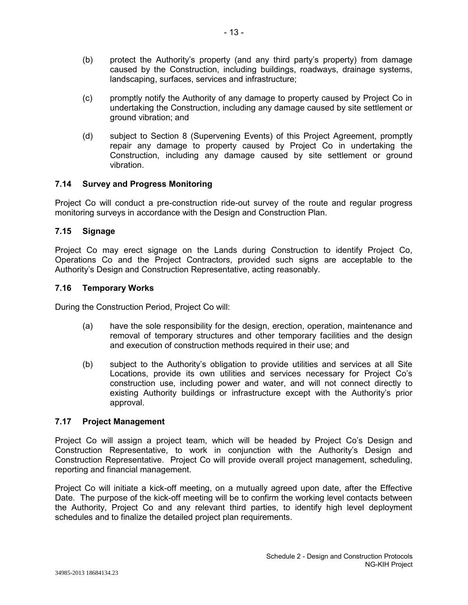- (b) protect the Authority's property (and any third party's property) from damage caused by the Construction, including buildings, roadways, drainage systems, landscaping, surfaces, services and infrastructure;
- (c) promptly notify the Authority of any damage to property caused by Project Co in undertaking the Construction, including any damage caused by site settlement or ground vibration; and
- (d) subject to Section 8 (Supervening Events) of this Project Agreement, promptly repair any damage to property caused by Project Co in undertaking the Construction, including any damage caused by site settlement or ground vibration.

## **7.14 Survey and Progress Monitoring**

Project Co will conduct a pre-construction ride-out survey of the route and regular progress monitoring surveys in accordance with the Design and Construction Plan.

## **7.15 Signage**

Project Co may erect signage on the Lands during Construction to identify Project Co, Operations Co and the Project Contractors, provided such signs are acceptable to the Authority's Design and Construction Representative, acting reasonably.

#### **7.16 Temporary Works**

During the Construction Period, Project Co will:

- (a) have the sole responsibility for the design, erection, operation, maintenance and removal of temporary structures and other temporary facilities and the design and execution of construction methods required in their use; and
- (b) subject to the Authority's obligation to provide utilities and services at all Site Locations, provide its own utilities and services necessary for Project Co's construction use, including power and water, and will not connect directly to existing Authority buildings or infrastructure except with the Authority's prior approval.

#### **7.17 Project Management**

Project Co will assign a project team, which will be headed by Project Co's Design and Construction Representative, to work in conjunction with the Authority's Design and Construction Representative. Project Co will provide overall project management, scheduling, reporting and financial management.

Project Co will initiate a kick-off meeting, on a mutually agreed upon date, after the Effective Date. The purpose of the kick-off meeting will be to confirm the working level contacts between the Authority, Project Co and any relevant third parties, to identify high level deployment schedules and to finalize the detailed project plan requirements.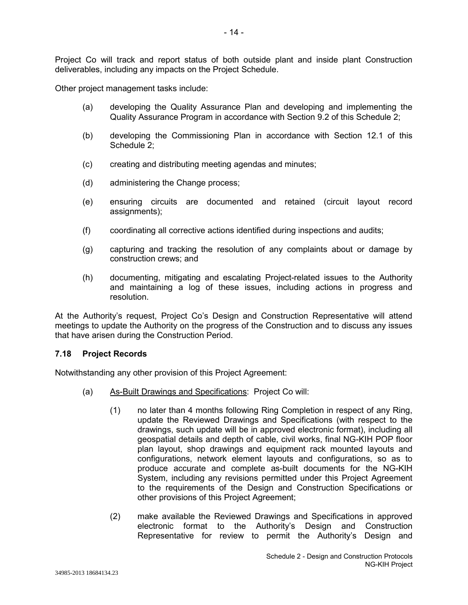Project Co will track and report status of both outside plant and inside plant Construction deliverables, including any impacts on the Project Schedule.

Other project management tasks include:

- (a) developing the Quality Assurance Plan and developing and implementing the Quality Assurance Program in accordance with Section 9.2 of this Schedule 2;
- (b) developing the Commissioning Plan in accordance with Section 12.1 of this Schedule 2;
- (c) creating and distributing meeting agendas and minutes;
- (d) administering the Change process;
- (e) ensuring circuits are documented and retained (circuit layout record assignments);
- (f) coordinating all corrective actions identified during inspections and audits;
- (g) capturing and tracking the resolution of any complaints about or damage by construction crews; and
- (h) documenting, mitigating and escalating Project-related issues to the Authority and maintaining a log of these issues, including actions in progress and resolution.

At the Authority's request, Project Co's Design and Construction Representative will attend meetings to update the Authority on the progress of the Construction and to discuss any issues that have arisen during the Construction Period.

#### **7.18 Project Records**

Notwithstanding any other provision of this Project Agreement:

- (a) As-Built Drawings and Specifications: Project Co will:
	- (1) no later than 4 months following Ring Completion in respect of any Ring, update the Reviewed Drawings and Specifications (with respect to the drawings, such update will be in approved electronic format), including all geospatial details and depth of cable, civil works, final NG-KIH POP floor plan layout, shop drawings and equipment rack mounted layouts and configurations, network element layouts and configurations, so as to produce accurate and complete as-built documents for the NG-KIH System, including any revisions permitted under this Project Agreement to the requirements of the Design and Construction Specifications or other provisions of this Project Agreement;
	- (2) make available the Reviewed Drawings and Specifications in approved electronic format to the Authority's Design and Construction Representative for review to permit the Authority's Design and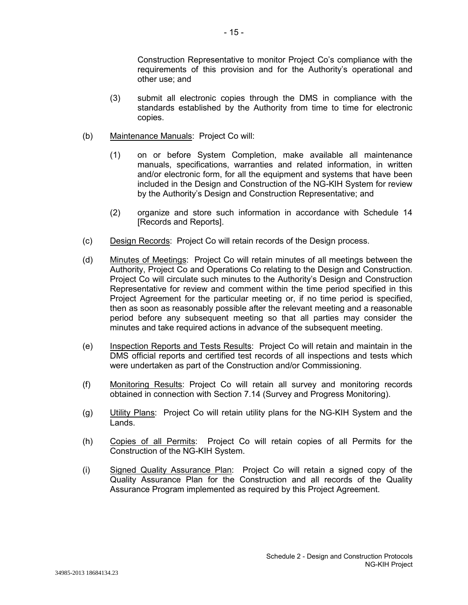Construction Representative to monitor Project Co's compliance with the requirements of this provision and for the Authority's operational and other use; and

- (3) submit all electronic copies through the DMS in compliance with the standards established by the Authority from time to time for electronic copies.
- (b) Maintenance Manuals: Project Co will:
	- (1) on or before System Completion, make available all maintenance manuals, specifications, warranties and related information, in written and/or electronic form, for all the equipment and systems that have been included in the Design and Construction of the NG-KIH System for review by the Authority's Design and Construction Representative; and
	- (2) organize and store such information in accordance with Schedule 14 [Records and Reports].
- (c) Design Records: Project Co will retain records of the Design process.
- (d) Minutes of Meetings: Project Co will retain minutes of all meetings between the Authority, Project Co and Operations Co relating to the Design and Construction. Project Co will circulate such minutes to the Authority's Design and Construction Representative for review and comment within the time period specified in this Project Agreement for the particular meeting or, if no time period is specified, then as soon as reasonably possible after the relevant meeting and a reasonable period before any subsequent meeting so that all parties may consider the minutes and take required actions in advance of the subsequent meeting.
- (e) Inspection Reports and Tests Results: Project Co will retain and maintain in the DMS official reports and certified test records of all inspections and tests which were undertaken as part of the Construction and/or Commissioning.
- (f) Monitoring Results: Project Co will retain all survey and monitoring records obtained in connection with Section 7.14 (Survey and Progress Monitoring).
- (g) Utility Plans: Project Co will retain utility plans for the NG-KIH System and the Lands.
- (h) Copies of all Permits: Project Co will retain copies of all Permits for the Construction of the NG-KIH System.
- (i) Signed Quality Assurance Plan: Project Co will retain a signed copy of the Quality Assurance Plan for the Construction and all records of the Quality Assurance Program implemented as required by this Project Agreement.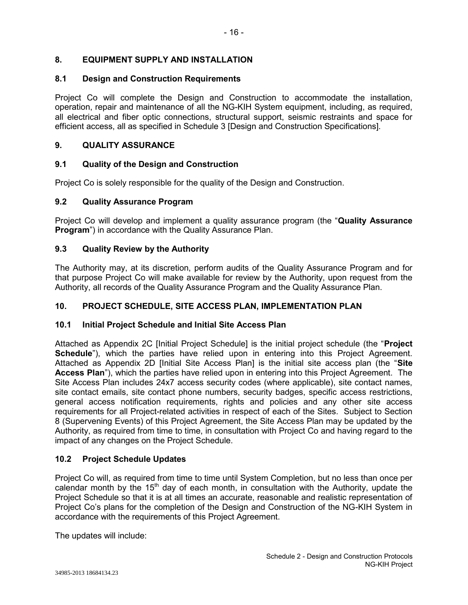# **8. EQUIPMENT SUPPLY AND INSTALLATION**

## **8.1 Design and Construction Requirements**

Project Co will complete the Design and Construction to accommodate the installation, operation, repair and maintenance of all the NG-KIH System equipment, including, as required, all electrical and fiber optic connections, structural support, seismic restraints and space for efficient access, all as specified in Schedule 3 [Design and Construction Specifications].

## **9. QUALITY ASSURANCE**

## **9.1 Quality of the Design and Construction**

Project Co is solely responsible for the quality of the Design and Construction.

## **9.2 Quality Assurance Program**

Project Co will develop and implement a quality assurance program (the "**Quality Assurance Program**") in accordance with the Quality Assurance Plan.

## **9.3 Quality Review by the Authority**

The Authority may, at its discretion, perform audits of the Quality Assurance Program and for that purpose Project Co will make available for review by the Authority, upon request from the Authority, all records of the Quality Assurance Program and the Quality Assurance Plan.

## **10. PROJECT SCHEDULE, SITE ACCESS PLAN, IMPLEMENTATION PLAN**

#### **10.1 Initial Project Schedule and Initial Site Access Plan**

Attached as Appendix 2C [Initial Project Schedule] is the initial project schedule (the "**Project Schedule**"), which the parties have relied upon in entering into this Project Agreement. Attached as Appendix 2D [Initial Site Access Plan] is the initial site access plan (the "**Site Access Plan**"), which the parties have relied upon in entering into this Project Agreement. The Site Access Plan includes 24x7 access security codes (where applicable), site contact names, site contact emails, site contact phone numbers, security badges, specific access restrictions, general access notification requirements, rights and policies and any other site access requirements for all Project-related activities in respect of each of the Sites. Subject to Section 8 (Supervening Events) of this Project Agreement, the Site Access Plan may be updated by the Authority, as required from time to time, in consultation with Project Co and having regard to the impact of any changes on the Project Schedule.

#### **10.2 Project Schedule Updates**

Project Co will, as required from time to time until System Completion, but no less than once per calendar month by the  $15<sup>th</sup>$  day of each month, in consultation with the Authority, update the Project Schedule so that it is at all times an accurate, reasonable and realistic representation of Project Co's plans for the completion of the Design and Construction of the NG-KIH System in accordance with the requirements of this Project Agreement.

The updates will include: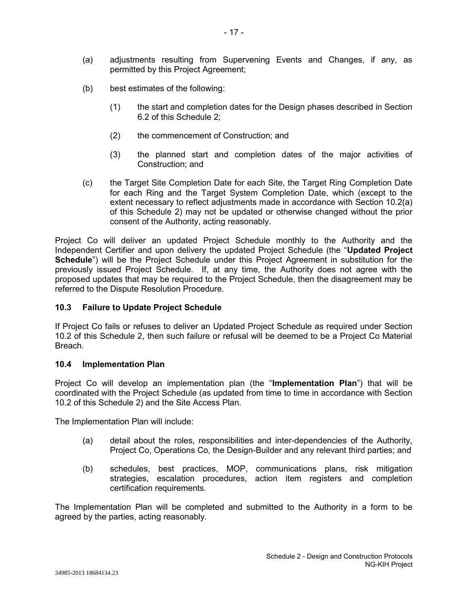- (a) adjustments resulting from Supervening Events and Changes, if any, as permitted by this Project Agreement;
- (b) best estimates of the following:
	- (1) the start and completion dates for the Design phases described in Section 6.2 of this Schedule 2;
	- (2) the commencement of Construction; and
	- (3) the planned start and completion dates of the major activities of Construction; and
- (c) the Target Site Completion Date for each Site, the Target Ring Completion Date for each Ring and the Target System Completion Date, which (except to the extent necessary to reflect adjustments made in accordance with Section 10.2(a) of this Schedule 2) may not be updated or otherwise changed without the prior consent of the Authority, acting reasonably.

Project Co will deliver an updated Project Schedule monthly to the Authority and the Independent Certifier and upon delivery the updated Project Schedule (the "**Updated Project Schedule**") will be the Project Schedule under this Project Agreement in substitution for the previously issued Project Schedule. If, at any time, the Authority does not agree with the proposed updates that may be required to the Project Schedule, then the disagreement may be referred to the Dispute Resolution Procedure.

### **10.3 Failure to Update Project Schedule**

If Project Co fails or refuses to deliver an Updated Project Schedule as required under Section 10.2 of this Schedule 2, then such failure or refusal will be deemed to be a Project Co Material Breach.

#### **10.4 Implementation Plan**

Project Co will develop an implementation plan (the "**Implementation Plan**") that will be coordinated with the Project Schedule (as updated from time to time in accordance with Section 10.2 of this Schedule 2) and the Site Access Plan.

The Implementation Plan will include:

- (a) detail about the roles, responsibilities and inter-dependencies of the Authority, Project Co, Operations Co, the Design-Builder and any relevant third parties; and
- (b) schedules, best practices, MOP, communications plans, risk mitigation strategies, escalation procedures, action item registers and completion certification requirements.

The Implementation Plan will be completed and submitted to the Authority in a form to be agreed by the parties, acting reasonably.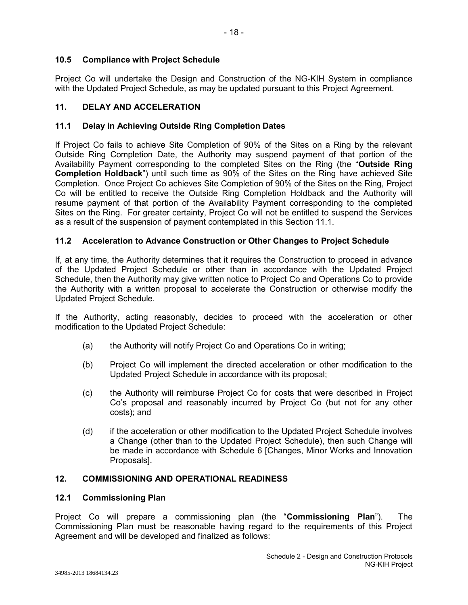Project Co will undertake the Design and Construction of the NG-KIH System in compliance with the Updated Project Schedule, as may be updated pursuant to this Project Agreement.

- 18 -

# **11. DELAY AND ACCELERATION**

# **11.1 Delay in Achieving Outside Ring Completion Dates**

If Project Co fails to achieve Site Completion of 90% of the Sites on a Ring by the relevant Outside Ring Completion Date, the Authority may suspend payment of that portion of the Availability Payment corresponding to the completed Sites on the Ring (the "**Outside Ring Completion Holdback**") until such time as 90% of the Sites on the Ring have achieved Site Completion. Once Project Co achieves Site Completion of 90% of the Sites on the Ring, Project Co will be entitled to receive the Outside Ring Completion Holdback and the Authority will resume payment of that portion of the Availability Payment corresponding to the completed Sites on the Ring. For greater certainty, Project Co will not be entitled to suspend the Services as a result of the suspension of payment contemplated in this Section 11.1.

# **11.2 Acceleration to Advance Construction or Other Changes to Project Schedule**

If, at any time, the Authority determines that it requires the Construction to proceed in advance of the Updated Project Schedule or other than in accordance with the Updated Project Schedule, then the Authority may give written notice to Project Co and Operations Co to provide the Authority with a written proposal to accelerate the Construction or otherwise modify the Updated Project Schedule.

If the Authority, acting reasonably, decides to proceed with the acceleration or other modification to the Updated Project Schedule:

- (a) the Authority will notify Project Co and Operations Co in writing;
- (b) Project Co will implement the directed acceleration or other modification to the Updated Project Schedule in accordance with its proposal;
- (c) the Authority will reimburse Project Co for costs that were described in Project Co's proposal and reasonably incurred by Project Co (but not for any other costs); and
- (d) if the acceleration or other modification to the Updated Project Schedule involves a Change (other than to the Updated Project Schedule), then such Change will be made in accordance with Schedule 6 [Changes, Minor Works and Innovation Proposals].

# **12. COMMISSIONING AND OPERATIONAL READINESS**

# **12.1 Commissioning Plan**

Project Co will prepare a commissioning plan (the "**Commissioning Plan**"). The Commissioning Plan must be reasonable having regard to the requirements of this Project Agreement and will be developed and finalized as follows: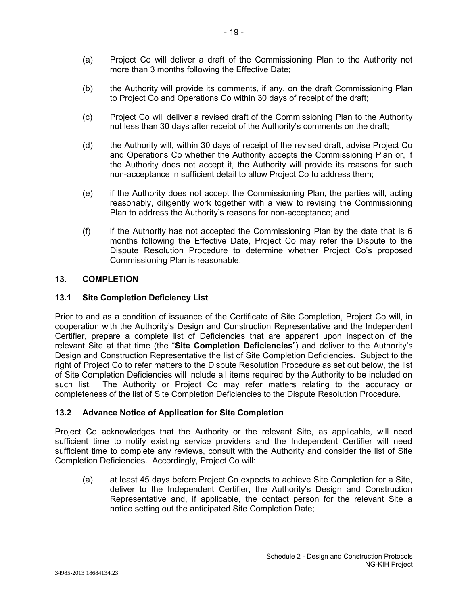- (a) Project Co will deliver a draft of the Commissioning Plan to the Authority not more than 3 months following the Effective Date;
- (b) the Authority will provide its comments, if any, on the draft Commissioning Plan to Project Co and Operations Co within 30 days of receipt of the draft;
- (c) Project Co will deliver a revised draft of the Commissioning Plan to the Authority not less than 30 days after receipt of the Authority's comments on the draft;
- (d) the Authority will, within 30 days of receipt of the revised draft, advise Project Co and Operations Co whether the Authority accepts the Commissioning Plan or, if the Authority does not accept it, the Authority will provide its reasons for such non-acceptance in sufficient detail to allow Project Co to address them;
- (e) if the Authority does not accept the Commissioning Plan, the parties will, acting reasonably, diligently work together with a view to revising the Commissioning Plan to address the Authority's reasons for non-acceptance; and
- (f) if the Authority has not accepted the Commissioning Plan by the date that is  $6$ months following the Effective Date, Project Co may refer the Dispute to the Dispute Resolution Procedure to determine whether Project Co's proposed Commissioning Plan is reasonable.

# **13. COMPLETION**

## **13.1 Site Completion Deficiency List**

Prior to and as a condition of issuance of the Certificate of Site Completion, Project Co will, in cooperation with the Authority's Design and Construction Representative and the Independent Certifier, prepare a complete list of Deficiencies that are apparent upon inspection of the relevant Site at that time (the "**Site Completion Deficiencies**") and deliver to the Authority's Design and Construction Representative the list of Site Completion Deficiencies. Subject to the right of Project Co to refer matters to the Dispute Resolution Procedure as set out below, the list of Site Completion Deficiencies will include all items required by the Authority to be included on such list. The Authority or Project Co may refer matters relating to the accuracy or completeness of the list of Site Completion Deficiencies to the Dispute Resolution Procedure.

# **13.2 Advance Notice of Application for Site Completion**

Project Co acknowledges that the Authority or the relevant Site, as applicable, will need sufficient time to notify existing service providers and the Independent Certifier will need sufficient time to complete any reviews, consult with the Authority and consider the list of Site Completion Deficiencies. Accordingly, Project Co will:

(a) at least 45 days before Project Co expects to achieve Site Completion for a Site, deliver to the Independent Certifier, the Authority's Design and Construction Representative and, if applicable, the contact person for the relevant Site a notice setting out the anticipated Site Completion Date;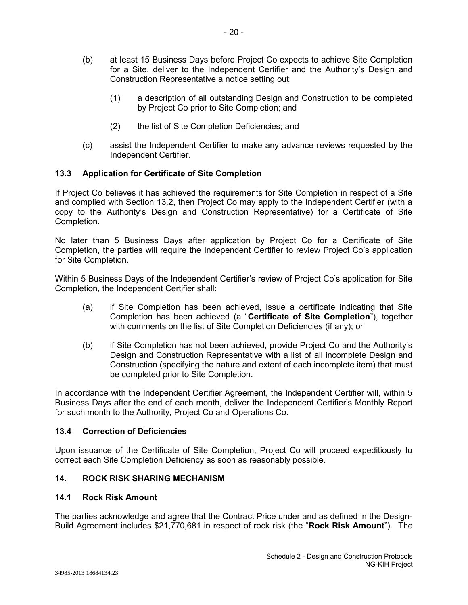- (b) at least 15 Business Days before Project Co expects to achieve Site Completion for a Site, deliver to the Independent Certifier and the Authority's Design and Construction Representative a notice setting out:
	- (1) a description of all outstanding Design and Construction to be completed by Project Co prior to Site Completion; and
	- (2) the list of Site Completion Deficiencies; and
- (c) assist the Independent Certifier to make any advance reviews requested by the Independent Certifier.

# **13.3 Application for Certificate of Site Completion**

If Project Co believes it has achieved the requirements for Site Completion in respect of a Site and complied with Section 13.2, then Project Co may apply to the Independent Certifier (with a copy to the Authority's Design and Construction Representative) for a Certificate of Site Completion.

No later than 5 Business Days after application by Project Co for a Certificate of Site Completion, the parties will require the Independent Certifier to review Project Co's application for Site Completion.

Within 5 Business Days of the Independent Certifier's review of Project Co's application for Site Completion, the Independent Certifier shall:

- (a) if Site Completion has been achieved, issue a certificate indicating that Site Completion has been achieved (a "**Certificate of Site Completion**"), together with comments on the list of Site Completion Deficiencies (if any); or
- (b) if Site Completion has not been achieved, provide Project Co and the Authority's Design and Construction Representative with a list of all incomplete Design and Construction (specifying the nature and extent of each incomplete item) that must be completed prior to Site Completion.

In accordance with the Independent Certifier Agreement, the Independent Certifier will, within 5 Business Days after the end of each month, deliver the Independent Certifier's Monthly Report for such month to the Authority, Project Co and Operations Co.

# **13.4 Correction of Deficiencies**

Upon issuance of the Certificate of Site Completion, Project Co will proceed expeditiously to correct each Site Completion Deficiency as soon as reasonably possible.

# **14. ROCK RISK SHARING MECHANISM**

#### **14.1 Rock Risk Amount**

The parties acknowledge and agree that the Contract Price under and as defined in the Design-Build Agreement includes \$21,770,681 in respect of rock risk (the "**Rock Risk Amount**"). The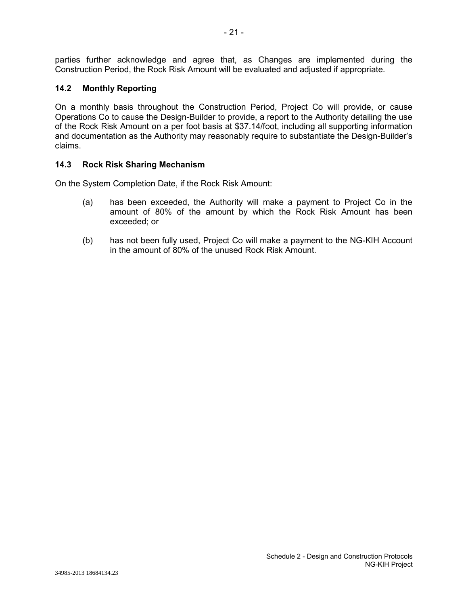parties further acknowledge and agree that, as Changes are implemented during the Construction Period, the Rock Risk Amount will be evaluated and adjusted if appropriate.

# **14.2 Monthly Reporting**

On a monthly basis throughout the Construction Period, Project Co will provide, or cause Operations Co to cause the Design-Builder to provide, a report to the Authority detailing the use of the Rock Risk Amount on a per foot basis at \$37.14/foot, including all supporting information and documentation as the Authority may reasonably require to substantiate the Design-Builder's claims.

#### **14.3 Rock Risk Sharing Mechanism**

On the System Completion Date, if the Rock Risk Amount:

- (a) has been exceeded, the Authority will make a payment to Project Co in the amount of 80% of the amount by which the Rock Risk Amount has been exceeded; or
- (b) has not been fully used, Project Co will make a payment to the NG-KIH Account in the amount of 80% of the unused Rock Risk Amount.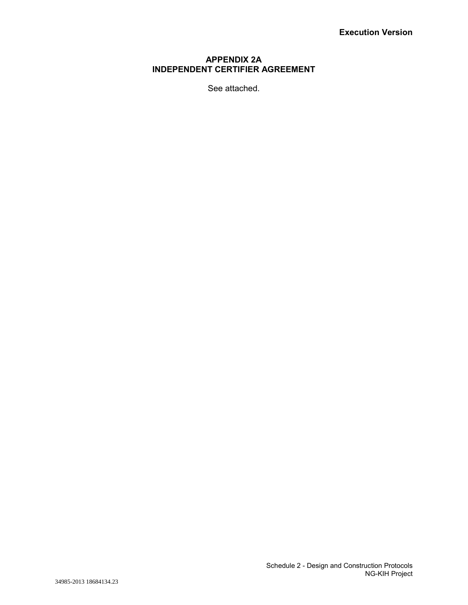## **APPENDIX 2A INDEPENDENT CERTIFIER AGREEMENT**

See attached.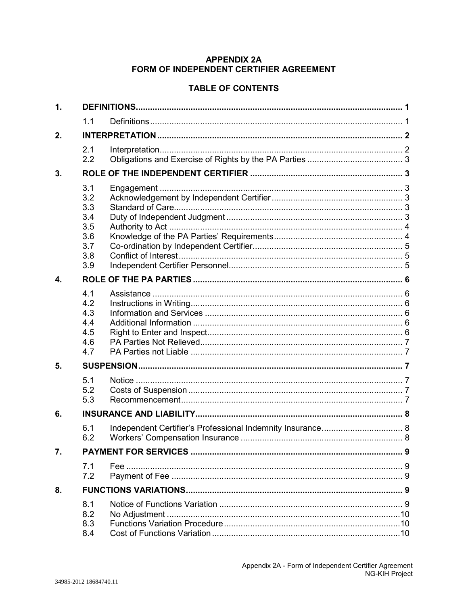# **APPENDIX 2A** FORM OF INDEPENDENT CERTIFIER AGREEMENT

# **TABLE OF CONTENTS**

| $\mathbf 1$ . |                                                             |  |  |  |  |  |
|---------------|-------------------------------------------------------------|--|--|--|--|--|
|               | 1.1                                                         |  |  |  |  |  |
| 2.            |                                                             |  |  |  |  |  |
|               | 2.1<br>2.2                                                  |  |  |  |  |  |
| 3.            |                                                             |  |  |  |  |  |
|               | 3.1<br>3.2<br>3.3<br>3.4<br>3.5<br>3.6<br>3.7<br>3.8<br>3.9 |  |  |  |  |  |
| 4.            |                                                             |  |  |  |  |  |
|               | 4.1<br>4.2<br>4.3<br>4.4<br>4.5<br>4.6<br>4.7               |  |  |  |  |  |
| 5.            |                                                             |  |  |  |  |  |
|               | 5.1<br>5.2<br>5.3                                           |  |  |  |  |  |
| 6.            |                                                             |  |  |  |  |  |
|               | 6.1<br>6.2                                                  |  |  |  |  |  |
| 7.            |                                                             |  |  |  |  |  |
|               | 7.1<br>7.2                                                  |  |  |  |  |  |
| 8.            |                                                             |  |  |  |  |  |
|               | 8.1<br>8.2<br>8.3<br>8.4                                    |  |  |  |  |  |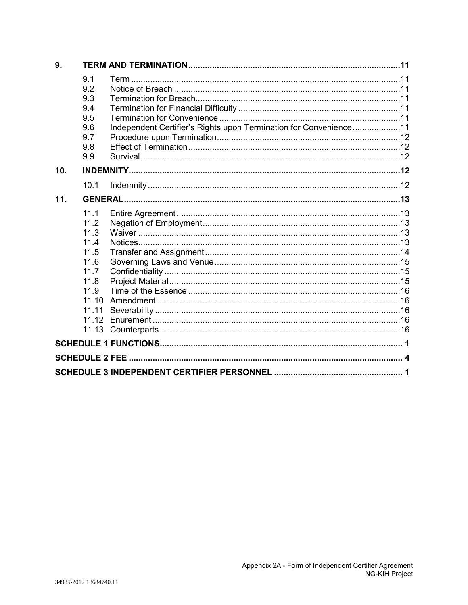| 9.  |                                                                                                 |                                                                   |  |  |  |  |  |  |  |
|-----|-------------------------------------------------------------------------------------------------|-------------------------------------------------------------------|--|--|--|--|--|--|--|
|     | 9.1<br>9.2<br>9.3<br>9.4<br>9.5<br>9.6<br>9.7<br>9.8<br>9.9                                     | Independent Certifier's Rights upon Termination for Convenience11 |  |  |  |  |  |  |  |
| 10. |                                                                                                 |                                                                   |  |  |  |  |  |  |  |
|     | 10.1                                                                                            |                                                                   |  |  |  |  |  |  |  |
| 11. |                                                                                                 |                                                                   |  |  |  |  |  |  |  |
|     | 11.1<br>11.2<br>11.3<br>11.4<br>11.5<br>11.6<br>11.7<br>11.8<br>11.9<br>11.10<br>11.11<br>11.12 |                                                                   |  |  |  |  |  |  |  |
|     |                                                                                                 |                                                                   |  |  |  |  |  |  |  |
|     |                                                                                                 |                                                                   |  |  |  |  |  |  |  |
|     |                                                                                                 |                                                                   |  |  |  |  |  |  |  |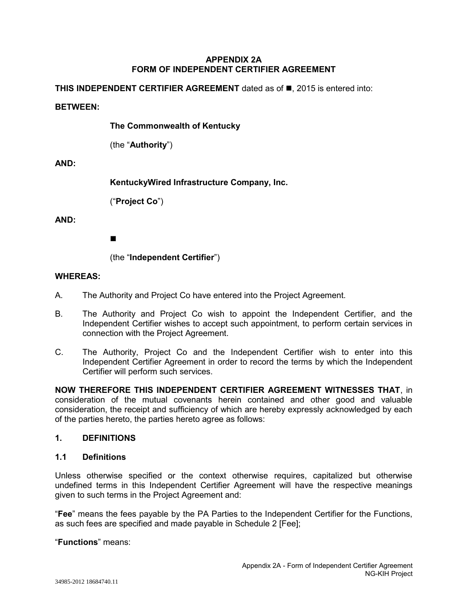### **APPENDIX 2A FORM OF INDEPENDENT CERTIFIER AGREEMENT**

**THIS INDEPENDENT CERTIFIER AGREEMENT** dated as of  $\blacksquare$ , 2015 is entered into:

#### **BETWEEN:**

**The Commonwealth of Kentucky**

(the "**Authority**")

#### **AND:**

**KentuckyWired Infrastructure Company, Inc.**

("**Project Co**")

## **AND:**

 $\blacksquare$ 

(the "**Independent Certifier**")

#### **WHEREAS:**

- A. The Authority and Project Co have entered into the Project Agreement.
- B. The Authority and Project Co wish to appoint the Independent Certifier, and the Independent Certifier wishes to accept such appointment, to perform certain services in connection with the Project Agreement.
- C. The Authority, Project Co and the Independent Certifier wish to enter into this Independent Certifier Agreement in order to record the terms by which the Independent Certifier will perform such services.

**NOW THEREFORE THIS INDEPENDENT CERTIFIER AGREEMENT WITNESSES THAT**, in consideration of the mutual covenants herein contained and other good and valuable consideration, the receipt and sufficiency of which are hereby expressly acknowledged by each of the parties hereto, the parties hereto agree as follows:

#### **1. DEFINITIONS**

#### **1.1 Definitions**

Unless otherwise specified or the context otherwise requires, capitalized but otherwise undefined terms in this Independent Certifier Agreement will have the respective meanings given to such terms in the Project Agreement and:

"**Fee**" means the fees payable by the PA Parties to the Independent Certifier for the Functions, as such fees are specified and made payable in Schedule 2 [Fee];

"**Functions**" means: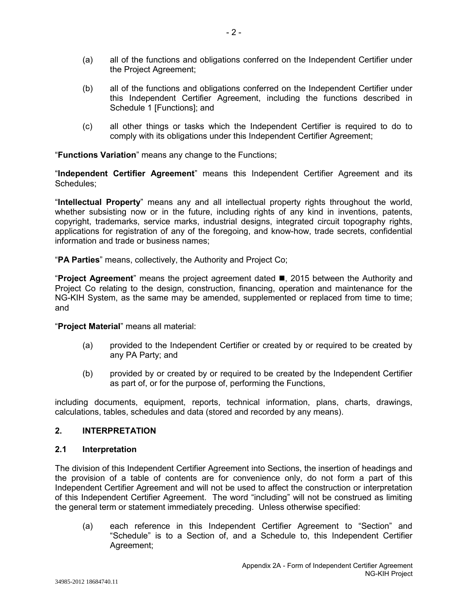- (a) all of the functions and obligations conferred on the Independent Certifier under the Project Agreement;
- (b) all of the functions and obligations conferred on the Independent Certifier under this Independent Certifier Agreement, including the functions described in Schedule 1 [Functions]; and
- (c) all other things or tasks which the Independent Certifier is required to do to comply with its obligations under this Independent Certifier Agreement;

"**Functions Variation**" means any change to the Functions;

"**Independent Certifier Agreement**" means this Independent Certifier Agreement and its Schedules;

"**Intellectual Property**" means any and all intellectual property rights throughout the world, whether subsisting now or in the future, including rights of any kind in inventions, patents, copyright, trademarks, service marks, industrial designs, integrated circuit topography rights, applications for registration of any of the foregoing, and know-how, trade secrets, confidential information and trade or business names;

"**PA Parties**" means, collectively, the Authority and Project Co;

"**Project Agreement**" means the project agreement dated , 2015 between the Authority and Project Co relating to the design, construction, financing, operation and maintenance for the NG-KIH System, as the same may be amended, supplemented or replaced from time to time; and

"**Project Material**" means all material:

- (a) provided to the Independent Certifier or created by or required to be created by any PA Party; and
- (b) provided by or created by or required to be created by the Independent Certifier as part of, or for the purpose of, performing the Functions,

including documents, equipment, reports, technical information, plans, charts, drawings, calculations, tables, schedules and data (stored and recorded by any means).

# **2. INTERPRETATION**

# **2.1 Interpretation**

The division of this Independent Certifier Agreement into Sections, the insertion of headings and the provision of a table of contents are for convenience only, do not form a part of this Independent Certifier Agreement and will not be used to affect the construction or interpretation of this Independent Certifier Agreement. The word "including" will not be construed as limiting the general term or statement immediately preceding. Unless otherwise specified:

(a) each reference in this Independent Certifier Agreement to "Section" and "Schedule" is to a Section of, and a Schedule to, this Independent Certifier Agreement;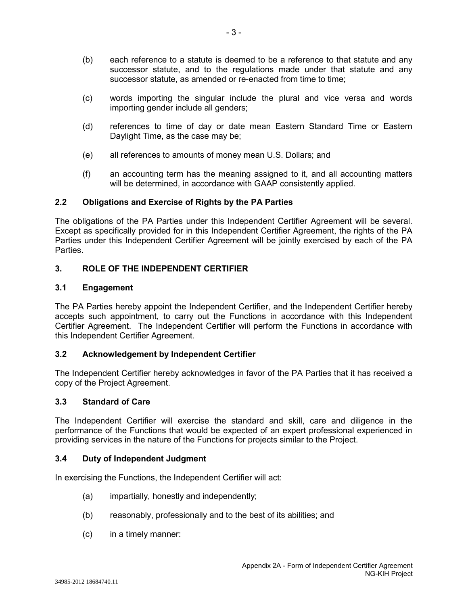- (b) each reference to a statute is deemed to be a reference to that statute and any successor statute, and to the regulations made under that statute and any successor statute, as amended or re-enacted from time to time:
- (c) words importing the singular include the plural and vice versa and words importing gender include all genders;
- (d) references to time of day or date mean Eastern Standard Time or Eastern Daylight Time, as the case may be;
- (e) all references to amounts of money mean U.S. Dollars; and
- (f) an accounting term has the meaning assigned to it, and all accounting matters will be determined, in accordance with GAAP consistently applied.

# **2.2 Obligations and Exercise of Rights by the PA Parties**

The obligations of the PA Parties under this Independent Certifier Agreement will be several. Except as specifically provided for in this Independent Certifier Agreement, the rights of the PA Parties under this Independent Certifier Agreement will be jointly exercised by each of the PA Parties.

## **3. ROLE OF THE INDEPENDENT CERTIFIER**

#### **3.1 Engagement**

The PA Parties hereby appoint the Independent Certifier, and the Independent Certifier hereby accepts such appointment, to carry out the Functions in accordance with this Independent Certifier Agreement. The Independent Certifier will perform the Functions in accordance with this Independent Certifier Agreement.

## **3.2 Acknowledgement by Independent Certifier**

The Independent Certifier hereby acknowledges in favor of the PA Parties that it has received a copy of the Project Agreement.

#### **3.3 Standard of Care**

The Independent Certifier will exercise the standard and skill, care and diligence in the performance of the Functions that would be expected of an expert professional experienced in providing services in the nature of the Functions for projects similar to the Project.

#### **3.4 Duty of Independent Judgment**

In exercising the Functions, the Independent Certifier will act:

- (a) impartially, honestly and independently;
- (b) reasonably, professionally and to the best of its abilities; and
- (c) in a timely manner: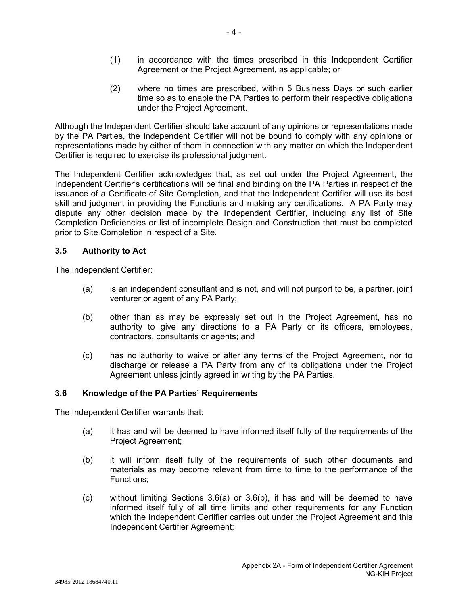- (1) in accordance with the times prescribed in this Independent Certifier Agreement or the Project Agreement, as applicable; or
- (2) where no times are prescribed, within 5 Business Days or such earlier time so as to enable the PA Parties to perform their respective obligations under the Project Agreement.

Although the Independent Certifier should take account of any opinions or representations made by the PA Parties, the Independent Certifier will not be bound to comply with any opinions or representations made by either of them in connection with any matter on which the Independent Certifier is required to exercise its professional judgment.

The Independent Certifier acknowledges that, as set out under the Project Agreement, the Independent Certifier's certifications will be final and binding on the PA Parties in respect of the issuance of a Certificate of Site Completion, and that the Independent Certifier will use its best skill and judgment in providing the Functions and making any certifications. A PA Party may dispute any other decision made by the Independent Certifier, including any list of Site Completion Deficiencies or list of incomplete Design and Construction that must be completed prior to Site Completion in respect of a Site.

## **3.5 Authority to Act**

The Independent Certifier:

- (a) is an independent consultant and is not, and will not purport to be, a partner, joint venturer or agent of any PA Party;
- (b) other than as may be expressly set out in the Project Agreement, has no authority to give any directions to a PA Party or its officers, employees, contractors, consultants or agents; and
- (c) has no authority to waive or alter any terms of the Project Agreement, nor to discharge or release a PA Party from any of its obligations under the Project Agreement unless jointly agreed in writing by the PA Parties.

#### **3.6 Knowledge of the PA Parties' Requirements**

The Independent Certifier warrants that:

- (a) it has and will be deemed to have informed itself fully of the requirements of the Project Agreement;
- (b) it will inform itself fully of the requirements of such other documents and materials as may become relevant from time to time to the performance of the Functions;
- $(c)$  without limiting Sections 3.6(a) or 3.6(b), it has and will be deemed to have informed itself fully of all time limits and other requirements for any Function which the Independent Certifier carries out under the Project Agreement and this Independent Certifier Agreement;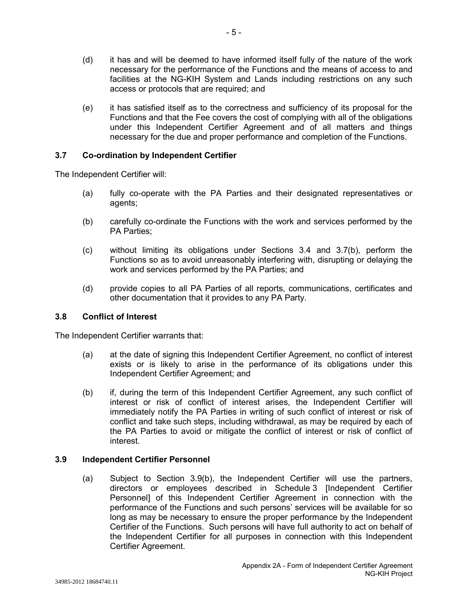- (d) it has and will be deemed to have informed itself fully of the nature of the work necessary for the performance of the Functions and the means of access to and facilities at the NG-KIH System and Lands including restrictions on any such access or protocols that are required; and
- (e) it has satisfied itself as to the correctness and sufficiency of its proposal for the Functions and that the Fee covers the cost of complying with all of the obligations under this Independent Certifier Agreement and of all matters and things necessary for the due and proper performance and completion of the Functions.

## **3.7 Co-ordination by Independent Certifier**

The Independent Certifier will:

- (a) fully co-operate with the PA Parties and their designated representatives or agents;
- (b) carefully co-ordinate the Functions with the work and services performed by the PA Parties;
- (c) without limiting its obligations under Sections 3.4 and 3.7(b), perform the Functions so as to avoid unreasonably interfering with, disrupting or delaying the work and services performed by the PA Parties; and
- (d) provide copies to all PA Parties of all reports, communications, certificates and other documentation that it provides to any PA Party.

#### **3.8 Conflict of Interest**

The Independent Certifier warrants that:

- (a) at the date of signing this Independent Certifier Agreement, no conflict of interest exists or is likely to arise in the performance of its obligations under this Independent Certifier Agreement; and
- (b) if, during the term of this Independent Certifier Agreement, any such conflict of interest or risk of conflict of interest arises, the Independent Certifier will immediately notify the PA Parties in writing of such conflict of interest or risk of conflict and take such steps, including withdrawal, as may be required by each of the PA Parties to avoid or mitigate the conflict of interest or risk of conflict of interest.

## **3.9 Independent Certifier Personnel**

(a) Subject to Section 3.9(b), the Independent Certifier will use the partners, directors or employees described in Schedule 3 [Independent Certifier Personnel] of this Independent Certifier Agreement in connection with the performance of the Functions and such persons' services will be available for so long as may be necessary to ensure the proper performance by the Independent Certifier of the Functions. Such persons will have full authority to act on behalf of the Independent Certifier for all purposes in connection with this Independent Certifier Agreement.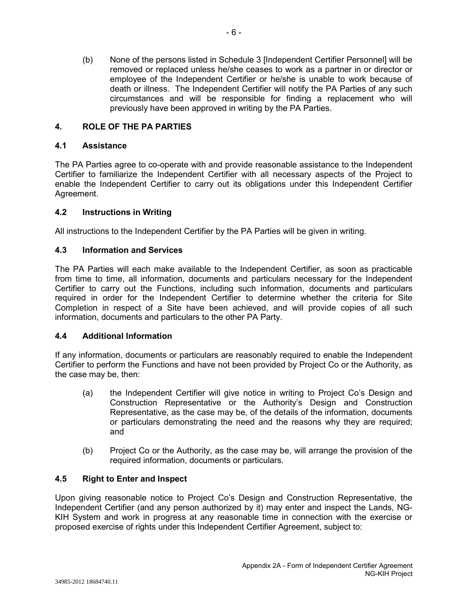(b) None of the persons listed in Schedule 3 [Independent Certifier Personnel] will be removed or replaced unless he/she ceases to work as a partner in or director or employee of the Independent Certifier or he/she is unable to work because of death or illness. The Independent Certifier will notify the PA Parties of any such circumstances and will be responsible for finding a replacement who will previously have been approved in writing by the PA Parties.

# **4. ROLE OF THE PA PARTIES**

## **4.1 Assistance**

The PA Parties agree to co-operate with and provide reasonable assistance to the Independent Certifier to familiarize the Independent Certifier with all necessary aspects of the Project to enable the Independent Certifier to carry out its obligations under this Independent Certifier Agreement.

# **4.2 Instructions in Writing**

All instructions to the Independent Certifier by the PA Parties will be given in writing.

## **4.3 Information and Services**

The PA Parties will each make available to the Independent Certifier, as soon as practicable from time to time, all information, documents and particulars necessary for the Independent Certifier to carry out the Functions, including such information, documents and particulars required in order for the Independent Certifier to determine whether the criteria for Site Completion in respect of a Site have been achieved, and will provide copies of all such information, documents and particulars to the other PA Party.

## **4.4 Additional Information**

If any information, documents or particulars are reasonably required to enable the Independent Certifier to perform the Functions and have not been provided by Project Co or the Authority, as the case may be, then:

- (a) the Independent Certifier will give notice in writing to Project Co's Design and Construction Representative or the Authority's Design and Construction Representative, as the case may be, of the details of the information, documents or particulars demonstrating the need and the reasons why they are required; and
- (b) Project Co or the Authority, as the case may be, will arrange the provision of the required information, documents or particulars.

# **4.5 Right to Enter and Inspect**

Upon giving reasonable notice to Project Co's Design and Construction Representative, the Independent Certifier (and any person authorized by it) may enter and inspect the Lands, NG-KIH System and work in progress at any reasonable time in connection with the exercise or proposed exercise of rights under this Independent Certifier Agreement, subject to: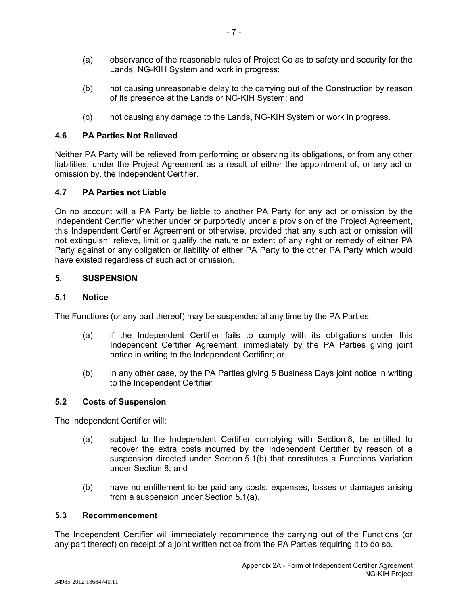- (a) observance of the reasonable rules of Project Co as to safety and security for the Lands, NG-KIH System and work in progress;
- (b) not causing unreasonable delay to the carrying out of the Construction by reason of its presence at the Lands or NG-KIH System; and
- (c) not causing any damage to the Lands, NG-KIH System or work in progress.

### **4.6 PA Parties Not Relieved**

Neither PA Party will be relieved from performing or observing its obligations, or from any other liabilities, under the Project Agreement as a result of either the appointment of, or any act or omission by, the Independent Certifier.

## **4.7 PA Parties not Liable**

On no account will a PA Party be liable to another PA Party for any act or omission by the Independent Certifier whether under or purportedly under a provision of the Project Agreement, this Independent Certifier Agreement or otherwise, provided that any such act or omission will not extinguish, relieve, limit or qualify the nature or extent of any right or remedy of either PA Party against or any obligation or liability of either PA Party to the other PA Party which would have existed regardless of such act or omission.

#### **5. SUSPENSION**

## **5.1 Notice**

The Functions (or any part thereof) may be suspended at any time by the PA Parties:

- (a) if the Independent Certifier fails to comply with its obligations under this Independent Certifier Agreement, immediately by the PA Parties giving joint notice in writing to the Independent Certifier; or
- (b) in any other case, by the PA Parties giving 5 Business Days joint notice in writing to the Independent Certifier.

#### **5.2 Costs of Suspension**

The Independent Certifier will:

- (a) subject to the Independent Certifier complying with Section 8, be entitled to recover the extra costs incurred by the Independent Certifier by reason of a suspension directed under Section 5.1(b) that constitutes a Functions Variation under Section 8; and
- (b) have no entitlement to be paid any costs, expenses, losses or damages arising from a suspension under Section 5.1(a).

#### **5.3 Recommencement**

The Independent Certifier will immediately recommence the carrying out of the Functions (or any part thereof) on receipt of a joint written notice from the PA Parties requiring it to do so.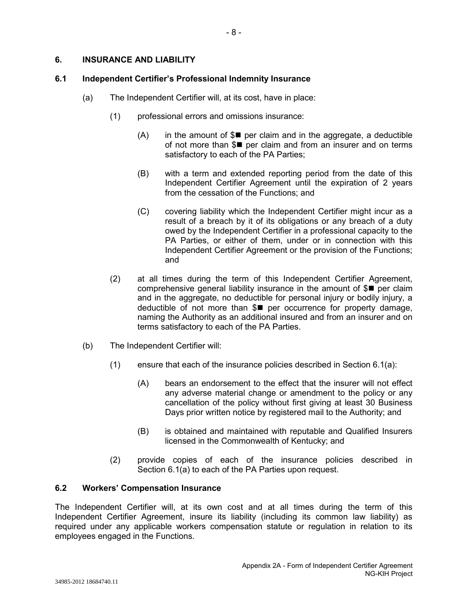# **6. INSURANCE AND LIABILITY**

# **6.1 Independent Certifier's Professional Indemnity Insurance**

- (a) The Independent Certifier will, at its cost, have in place:
	- (1) professional errors and omissions insurance:
		- $(A)$  in the amount of  $\mathcal{S}$  per claim and in the aggregate, a deductible of not more than  $\mathcal{S}$  per claim and from an insurer and on terms satisfactory to each of the PA Parties;
		- (B) with a term and extended reporting period from the date of this Independent Certifier Agreement until the expiration of 2 years from the cessation of the Functions; and
		- (C) covering liability which the Independent Certifier might incur as a result of a breach by it of its obligations or any breach of a duty owed by the Independent Certifier in a professional capacity to the PA Parties, or either of them, under or in connection with this Independent Certifier Agreement or the provision of the Functions; and
	- (2) at all times during the term of this Independent Certifier Agreement, comprehensive general liability insurance in the amount of  $\mathcal{S}$  per claim and in the aggregate, no deductible for personal injury or bodily injury, a deductible of not more than  $I = p$ er occurrence for property damage, naming the Authority as an additional insured and from an insurer and on terms satisfactory to each of the PA Parties.
- (b) The Independent Certifier will:
	- $(1)$  ensure that each of the insurance policies described in Section 6.1(a):
		- (A) bears an endorsement to the effect that the insurer will not effect any adverse material change or amendment to the policy or any cancellation of the policy without first giving at least 30 Business Days prior written notice by registered mail to the Authority; and
		- (B) is obtained and maintained with reputable and Qualified Insurers licensed in the Commonwealth of Kentucky; and
	- (2) provide copies of each of the insurance policies described in Section 6.1(a) to each of the PA Parties upon request.

# **6.2 Workers' Compensation Insurance**

The Independent Certifier will, at its own cost and at all times during the term of this Independent Certifier Agreement, insure its liability (including its common law liability) as required under any applicable workers compensation statute or regulation in relation to its employees engaged in the Functions.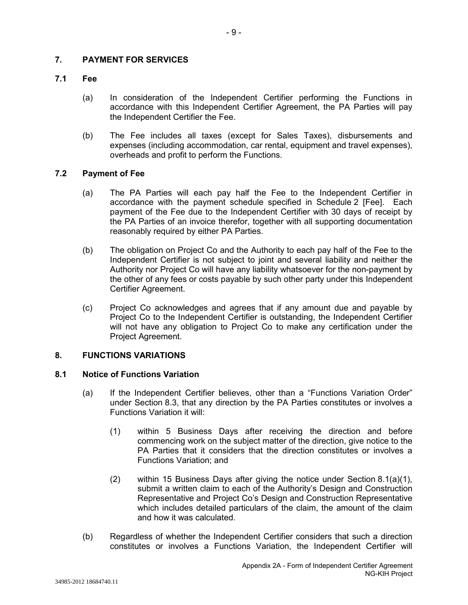## **7. PAYMENT FOR SERVICES**

### **7.1 Fee**

- (a) In consideration of the Independent Certifier performing the Functions in accordance with this Independent Certifier Agreement, the PA Parties will pay the Independent Certifier the Fee.
- (b) The Fee includes all taxes (except for Sales Taxes), disbursements and expenses (including accommodation, car rental, equipment and travel expenses), overheads and profit to perform the Functions.

## **7.2 Payment of Fee**

- (a) The PA Parties will each pay half the Fee to the Independent Certifier in accordance with the payment schedule specified in Schedule 2 [Fee]. Each payment of the Fee due to the Independent Certifier with 30 days of receipt by the PA Parties of an invoice therefor, together with all supporting documentation reasonably required by either PA Parties.
- (b) The obligation on Project Co and the Authority to each pay half of the Fee to the Independent Certifier is not subject to joint and several liability and neither the Authority nor Project Co will have any liability whatsoever for the non-payment by the other of any fees or costs payable by such other party under this Independent Certifier Agreement.
- (c) Project Co acknowledges and agrees that if any amount due and payable by Project Co to the Independent Certifier is outstanding, the Independent Certifier will not have any obligation to Project Co to make any certification under the Project Agreement.

# **8. FUNCTIONS VARIATIONS**

## **8.1 Notice of Functions Variation**

- (a) If the Independent Certifier believes, other than a "Functions Variation Order" under Section 8.3, that any direction by the PA Parties constitutes or involves a Functions Variation it will:
	- (1) within 5 Business Days after receiving the direction and before commencing work on the subject matter of the direction, give notice to the PA Parties that it considers that the direction constitutes or involves a Functions Variation; and
	- (2) within 15 Business Days after giving the notice under Section 8.1(a)(1), submit a written claim to each of the Authority's Design and Construction Representative and Project Co's Design and Construction Representative which includes detailed particulars of the claim, the amount of the claim and how it was calculated.
- (b) Regardless of whether the Independent Certifier considers that such a direction constitutes or involves a Functions Variation, the Independent Certifier will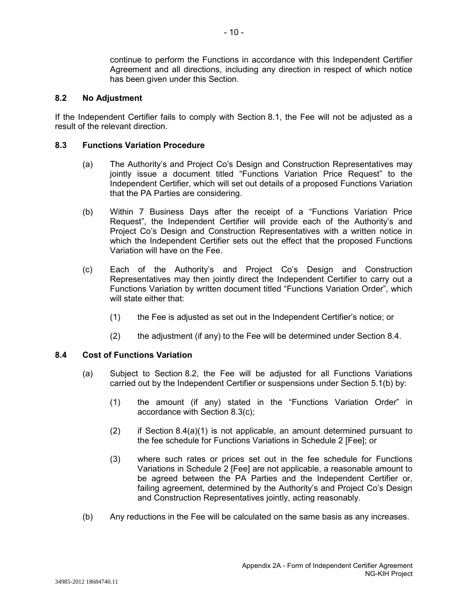continue to perform the Functions in accordance with this Independent Certifier Agreement and all directions, including any direction in respect of which notice has been given under this Section.

#### **8.2 No Adjustment**

If the Independent Certifier fails to comply with Section 8.1, the Fee will not be adjusted as a result of the relevant direction.

#### **8.3 Functions Variation Procedure**

- (a) The Authority's and Project Co's Design and Construction Representatives may jointly issue a document titled "Functions Variation Price Request" to the Independent Certifier, which will set out details of a proposed Functions Variation that the PA Parties are considering.
- (b) Within 7 Business Days after the receipt of a "Functions Variation Price Request", the Independent Certifier will provide each of the Authority's and Project Co's Design and Construction Representatives with a written notice in which the Independent Certifier sets out the effect that the proposed Functions Variation will have on the Fee.
- (c) Each of the Authority's and Project Co's Design and Construction Representatives may then jointly direct the Independent Certifier to carry out a Functions Variation by written document titled "Functions Variation Order", which will state either that:
	- (1) the Fee is adjusted as set out in the Independent Certifier's notice; or
	- (2) the adjustment (if any) to the Fee will be determined under Section 8.4.

## **8.4 Cost of Functions Variation**

- (a) Subject to Section 8.2, the Fee will be adjusted for all Functions Variations carried out by the Independent Certifier or suspensions under Section 5.1(b) by:
	- (1) the amount (if any) stated in the "Functions Variation Order" in accordance with Section 8.3(c);
	- (2) if Section  $8.4(a)(1)$  is not applicable, an amount determined pursuant to the fee schedule for Functions Variations in Schedule 2 [Fee]; or
	- (3) where such rates or prices set out in the fee schedule for Functions Variations in Schedule 2 [Fee] are not applicable, a reasonable amount to be agreed between the PA Parties and the Independent Certifier or, failing agreement, determined by the Authority's and Project Co's Design and Construction Representatives jointly, acting reasonably.
- (b) Any reductions in the Fee will be calculated on the same basis as any increases.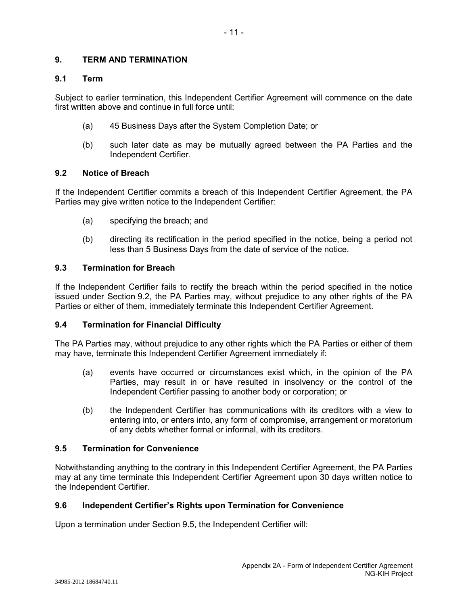## **9. TERM AND TERMINATION**

## **9.1 Term**

Subject to earlier termination, this Independent Certifier Agreement will commence on the date first written above and continue in full force until:

- (a) 45 Business Days after the System Completion Date; or
- (b) such later date as may be mutually agreed between the PA Parties and the Independent Certifier.

## **9.2 Notice of Breach**

If the Independent Certifier commits a breach of this Independent Certifier Agreement, the PA Parties may give written notice to the Independent Certifier:

- (a) specifying the breach; and
- (b) directing its rectification in the period specified in the notice, being a period not less than 5 Business Days from the date of service of the notice.

## **9.3 Termination for Breach**

If the Independent Certifier fails to rectify the breach within the period specified in the notice issued under Section 9.2, the PA Parties may, without prejudice to any other rights of the PA Parties or either of them, immediately terminate this Independent Certifier Agreement.

# **9.4 Termination for Financial Difficulty**

The PA Parties may, without prejudice to any other rights which the PA Parties or either of them may have, terminate this Independent Certifier Agreement immediately if:

- (a) events have occurred or circumstances exist which, in the opinion of the PA Parties, may result in or have resulted in insolvency or the control of the Independent Certifier passing to another body or corporation; or
- (b) the Independent Certifier has communications with its creditors with a view to entering into, or enters into, any form of compromise, arrangement or moratorium of any debts whether formal or informal, with its creditors.

#### **9.5 Termination for Convenience**

Notwithstanding anything to the contrary in this Independent Certifier Agreement, the PA Parties may at any time terminate this Independent Certifier Agreement upon 30 days written notice to the Independent Certifier.

#### **9.6 Independent Certifier's Rights upon Termination for Convenience**

Upon a termination under Section 9.5, the Independent Certifier will: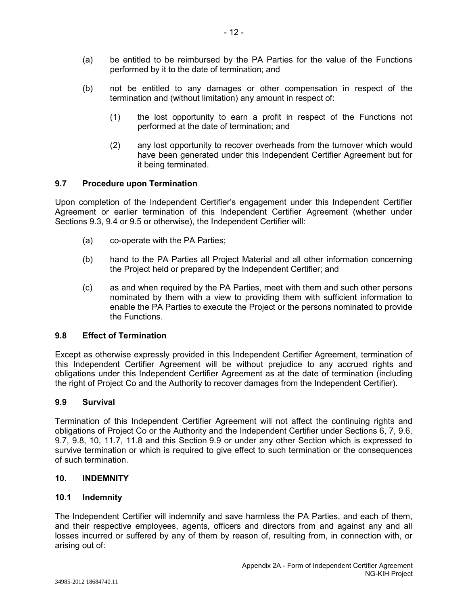- (a) be entitled to be reimbursed by the PA Parties for the value of the Functions performed by it to the date of termination; and
- (b) not be entitled to any damages or other compensation in respect of the termination and (without limitation) any amount in respect of:
	- (1) the lost opportunity to earn a profit in respect of the Functions not performed at the date of termination; and
	- (2) any lost opportunity to recover overheads from the turnover which would have been generated under this Independent Certifier Agreement but for it being terminated.

## **9.7 Procedure upon Termination**

Upon completion of the Independent Certifier's engagement under this Independent Certifier Agreement or earlier termination of this Independent Certifier Agreement (whether under Sections 9.3, 9.4 or 9.5 or otherwise), the Independent Certifier will:

- (a) co-operate with the PA Parties;
- (b) hand to the PA Parties all Project Material and all other information concerning the Project held or prepared by the Independent Certifier; and
- (c) as and when required by the PA Parties, meet with them and such other persons nominated by them with a view to providing them with sufficient information to enable the PA Parties to execute the Project or the persons nominated to provide the Functions.

# **9.8 Effect of Termination**

Except as otherwise expressly provided in this Independent Certifier Agreement, termination of this Independent Certifier Agreement will be without prejudice to any accrued rights and obligations under this Independent Certifier Agreement as at the date of termination (including the right of Project Co and the Authority to recover damages from the Independent Certifier).

# **9.9 Survival**

Termination of this Independent Certifier Agreement will not affect the continuing rights and obligations of Project Co or the Authority and the Independent Certifier under Sections 6, 7, 9.6, 9.7, 9.8, 10, 11.7, 11.8 and this Section 9.9 or under any other Section which is expressed to survive termination or which is required to give effect to such termination or the consequences of such termination.

#### **10. INDEMNITY**

#### **10.1 Indemnity**

The Independent Certifier will indemnify and save harmless the PA Parties, and each of them, and their respective employees, agents, officers and directors from and against any and all losses incurred or suffered by any of them by reason of, resulting from, in connection with, or arising out of:

NG-KIH Project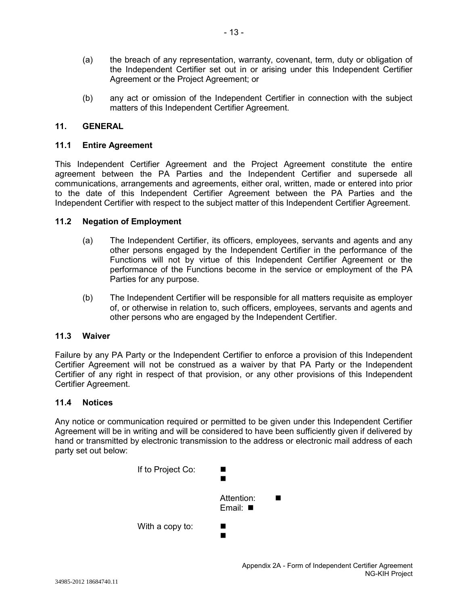- (a) the breach of any representation, warranty, covenant, term, duty or obligation of the Independent Certifier set out in or arising under this Independent Certifier Agreement or the Project Agreement; or
- (b) any act or omission of the Independent Certifier in connection with the subject matters of this Independent Certifier Agreement.

# **11. GENERAL**

### **11.1 Entire Agreement**

This Independent Certifier Agreement and the Project Agreement constitute the entire agreement between the PA Parties and the Independent Certifier and supersede all communications, arrangements and agreements, either oral, written, made or entered into prior to the date of this Independent Certifier Agreement between the PA Parties and the Independent Certifier with respect to the subject matter of this Independent Certifier Agreement.

#### **11.2 Negation of Employment**

- (a) The Independent Certifier, its officers, employees, servants and agents and any other persons engaged by the Independent Certifier in the performance of the Functions will not by virtue of this Independent Certifier Agreement or the performance of the Functions become in the service or employment of the PA Parties for any purpose.
- (b) The Independent Certifier will be responsible for all matters requisite as employer of, or otherwise in relation to, such officers, employees, servants and agents and other persons who are engaged by the Independent Certifier.

## **11.3 Waiver**

Failure by any PA Party or the Independent Certifier to enforce a provision of this Independent Certifier Agreement will not be construed as a waiver by that PA Party or the Independent Certifier of any right in respect of that provision, or any other provisions of this Independent Certifier Agreement.

## **11.4 Notices**

Any notice or communication required or permitted to be given under this Independent Certifier Agreement will be in writing and will be considered to have been sufficiently given if delivered by hand or transmitted by electronic transmission to the address or electronic mail address of each party set out below:

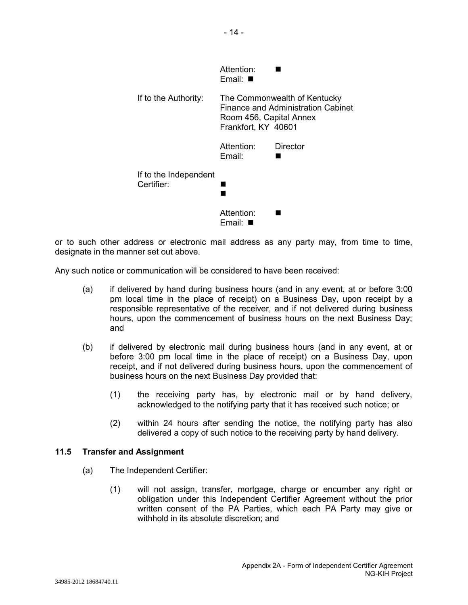|                                     | Attention:<br>Email: ■                                                                                               |          |  |  |  |  |
|-------------------------------------|----------------------------------------------------------------------------------------------------------------------|----------|--|--|--|--|
| If to the Authority:                | The Commonwealth of Kentucky<br>Finance and Administration Cabinet<br>Room 456, Capital Annex<br>Frankfort, KY 40601 |          |  |  |  |  |
|                                     | Attention:<br>Email:                                                                                                 | Director |  |  |  |  |
| If to the Independent<br>Certifier: |                                                                                                                      |          |  |  |  |  |
|                                     | Attention:<br>Email:                                                                                                 |          |  |  |  |  |

or to such other address or electronic mail address as any party may, from time to time, designate in the manner set out above.

Any such notice or communication will be considered to have been received:

- (a) if delivered by hand during business hours (and in any event, at or before 3:00 pm local time in the place of receipt) on a Business Day, upon receipt by a responsible representative of the receiver, and if not delivered during business hours, upon the commencement of business hours on the next Business Day; and
- (b) if delivered by electronic mail during business hours (and in any event, at or before 3:00 pm local time in the place of receipt) on a Business Day, upon receipt, and if not delivered during business hours, upon the commencement of business hours on the next Business Day provided that:
	- (1) the receiving party has, by electronic mail or by hand delivery, acknowledged to the notifying party that it has received such notice; or
	- (2) within 24 hours after sending the notice, the notifying party has also delivered a copy of such notice to the receiving party by hand delivery.

#### **11.5 Transfer and Assignment**

- (a) The Independent Certifier:
	- (1) will not assign, transfer, mortgage, charge or encumber any right or obligation under this Independent Certifier Agreement without the prior written consent of the PA Parties, which each PA Party may give or withhold in its absolute discretion; and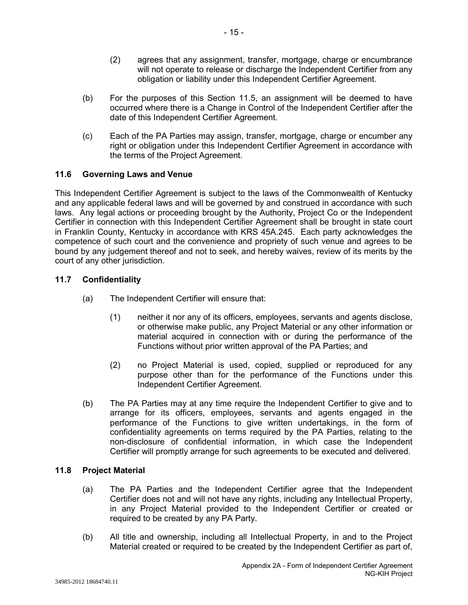- (2) agrees that any assignment, transfer, mortgage, charge or encumbrance will not operate to release or discharge the Independent Certifier from any obligation or liability under this Independent Certifier Agreement.
- (b) For the purposes of this Section 11.5, an assignment will be deemed to have occurred where there is a Change in Control of the Independent Certifier after the date of this Independent Certifier Agreement.
- (c) Each of the PA Parties may assign, transfer, mortgage, charge or encumber any right or obligation under this Independent Certifier Agreement in accordance with the terms of the Project Agreement.

# **11.6 Governing Laws and Venue**

This Independent Certifier Agreement is subject to the laws of the Commonwealth of Kentucky and any applicable federal laws and will be governed by and construed in accordance with such laws. Any legal actions or proceeding brought by the Authority, Project Co or the Independent Certifier in connection with this Independent Certifier Agreement shall be brought in state court in Franklin County, Kentucky in accordance with KRS 45A.245. Each party acknowledges the competence of such court and the convenience and propriety of such venue and agrees to be bound by any judgement thereof and not to seek, and hereby waives, review of its merits by the court of any other jurisdiction.

# **11.7 Confidentiality**

- (a) The Independent Certifier will ensure that:
	- (1) neither it nor any of its officers, employees, servants and agents disclose, or otherwise make public, any Project Material or any other information or material acquired in connection with or during the performance of the Functions without prior written approval of the PA Parties; and
	- (2) no Project Material is used, copied, supplied or reproduced for any purpose other than for the performance of the Functions under this Independent Certifier Agreement.
- (b) The PA Parties may at any time require the Independent Certifier to give and to arrange for its officers, employees, servants and agents engaged in the performance of the Functions to give written undertakings, in the form of confidentiality agreements on terms required by the PA Parties, relating to the non-disclosure of confidential information, in which case the Independent Certifier will promptly arrange for such agreements to be executed and delivered.

# **11.8 Project Material**

- (a) The PA Parties and the Independent Certifier agree that the Independent Certifier does not and will not have any rights, including any Intellectual Property, in any Project Material provided to the Independent Certifier or created or required to be created by any PA Party.
- (b) All title and ownership, including all Intellectual Property, in and to the Project Material created or required to be created by the Independent Certifier as part of,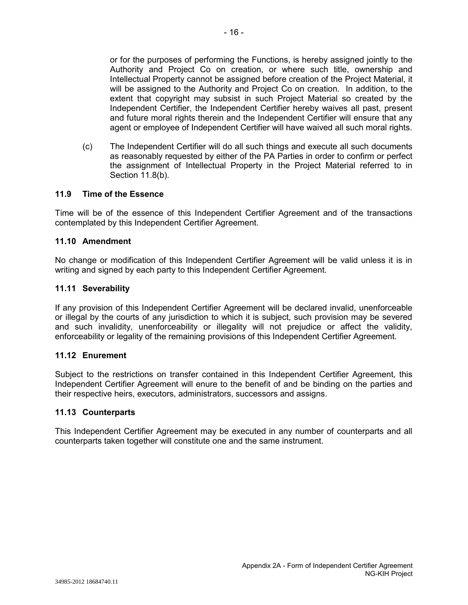or for the purposes of performing the Functions, is hereby assigned jointly to the Authority and Project Co on creation, or where such title, ownership and Intellectual Property cannot be assigned before creation of the Project Material, it will be assigned to the Authority and Project Co on creation. In addition, to the

extent that copyright may subsist in such Project Material so created by the Independent Certifier, the Independent Certifier hereby waives all past, present and future moral rights therein and the Independent Certifier will ensure that any agent or employee of Independent Certifier will have waived all such moral rights.

(c) The Independent Certifier will do all such things and execute all such documents as reasonably requested by either of the PA Parties in order to confirm or perfect the assignment of Intellectual Property in the Project Material referred to in Section 11.8(b).

# **11.9 Time of the Essence**

Time will be of the essence of this Independent Certifier Agreement and of the transactions contemplated by this Independent Certifier Agreement.

## **11.10 Amendment**

No change or modification of this Independent Certifier Agreement will be valid unless it is in writing and signed by each party to this Independent Certifier Agreement.

#### **11.11 Severability**

If any provision of this Independent Certifier Agreement will be declared invalid, unenforceable or illegal by the courts of any jurisdiction to which it is subject, such provision may be severed and such invalidity, unenforceability or illegality will not prejudice or affect the validity, enforceability or legality of the remaining provisions of this Independent Certifier Agreement.

#### **11.12 Enurement**

Subject to the restrictions on transfer contained in this Independent Certifier Agreement, this Independent Certifier Agreement will enure to the benefit of and be binding on the parties and their respective heirs, executors, administrators, successors and assigns.

#### **11.13 Counterparts**

This Independent Certifier Agreement may be executed in any number of counterparts and all counterparts taken together will constitute one and the same instrument.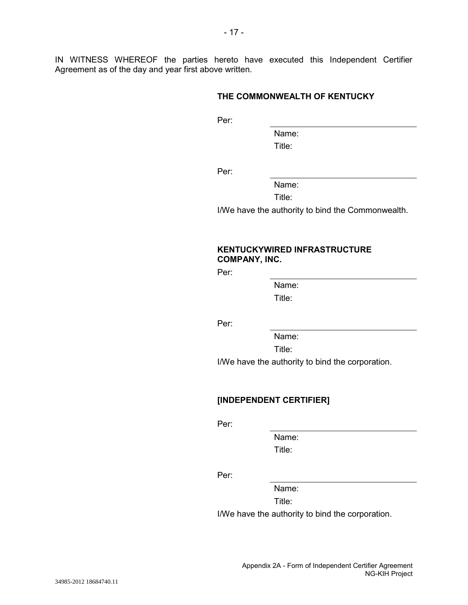IN WITNESS WHEREOF the parties hereto have executed this Independent Certifier Agreement as of the day and year first above written.

## **THE COMMONWEALTH OF KENTUCKY**

Per:

Name: Title:

Per:

Name:

Title:

I/We have the authority to bind the Commonwealth.

# **KENTUCKYWIRED INFRASTRUCTURE COMPANY, INC.**

Per:

Name: Title:

Per:

Name:

Title:

I/We have the authority to bind the corporation.

# **[INDEPENDENT CERTIFIER]**

Per:

Name: Title:

Per:

Name:

Title:

I/We have the authority to bind the corporation.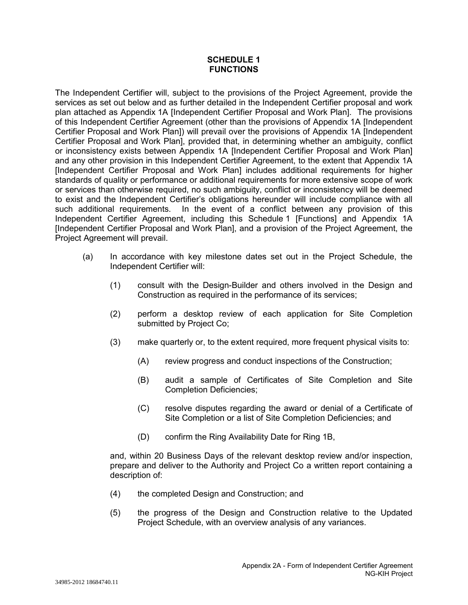### **SCHEDULE 1 FUNCTIONS**

The Independent Certifier will, subject to the provisions of the Project Agreement, provide the services as set out below and as further detailed in the Independent Certifier proposal and work plan attached as Appendix 1A [Independent Certifier Proposal and Work Plan]. The provisions of this Independent Certifier Agreement (other than the provisions of Appendix 1A [Independent Certifier Proposal and Work Plan]) will prevail over the provisions of Appendix 1A [Independent Certifier Proposal and Work Plan], provided that, in determining whether an ambiguity, conflict or inconsistency exists between Appendix 1A [Independent Certifier Proposal and Work Plan] and any other provision in this Independent Certifier Agreement, to the extent that Appendix 1A [Independent Certifier Proposal and Work Plan] includes additional requirements for higher standards of quality or performance or additional requirements for more extensive scope of work or services than otherwise required, no such ambiguity, conflict or inconsistency will be deemed to exist and the Independent Certifier's obligations hereunder will include compliance with all such additional requirements. In the event of a conflict between any provision of this Independent Certifier Agreement, including this Schedule 1 [Functions] and Appendix 1A [Independent Certifier Proposal and Work Plan], and a provision of the Project Agreement, the Project Agreement will prevail.

- (a) In accordance with key milestone dates set out in the Project Schedule, the Independent Certifier will:
	- (1) consult with the Design-Builder and others involved in the Design and Construction as required in the performance of its services;
	- (2) perform a desktop review of each application for Site Completion submitted by Project Co;
	- (3) make quarterly or, to the extent required, more frequent physical visits to:
		- (A) review progress and conduct inspections of the Construction;
		- (B) audit a sample of Certificates of Site Completion and Site Completion Deficiencies;
		- (C) resolve disputes regarding the award or denial of a Certificate of Site Completion or a list of Site Completion Deficiencies; and
		- (D) confirm the Ring Availability Date for Ring 1B,

and, within 20 Business Days of the relevant desktop review and/or inspection, prepare and deliver to the Authority and Project Co a written report containing a description of:

- (4) the completed Design and Construction; and
- (5) the progress of the Design and Construction relative to the Updated Project Schedule, with an overview analysis of any variances.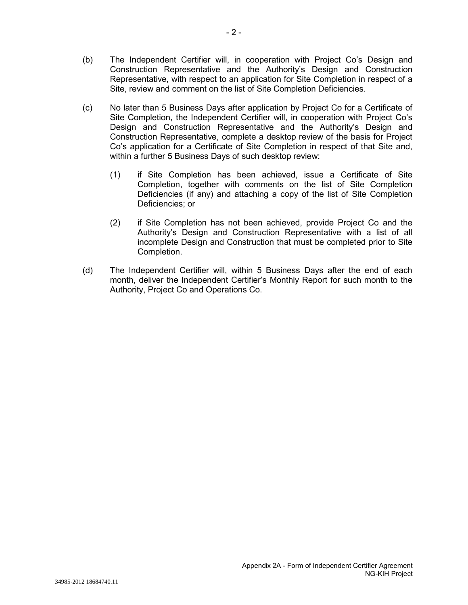- (b) The Independent Certifier will, in cooperation with Project Co's Design and Construction Representative and the Authority's Design and Construction Representative, with respect to an application for Site Completion in respect of a Site, review and comment on the list of Site Completion Deficiencies.
- (c) No later than 5 Business Days after application by Project Co for a Certificate of Site Completion, the Independent Certifier will, in cooperation with Project Co's Design and Construction Representative and the Authority's Design and Construction Representative, complete a desktop review of the basis for Project Co's application for a Certificate of Site Completion in respect of that Site and, within a further 5 Business Days of such desktop review:
	- (1) if Site Completion has been achieved, issue a Certificate of Site Completion, together with comments on the list of Site Completion Deficiencies (if any) and attaching a copy of the list of Site Completion Deficiencies; or
	- (2) if Site Completion has not been achieved, provide Project Co and the Authority's Design and Construction Representative with a list of all incomplete Design and Construction that must be completed prior to Site Completion.
- (d) The Independent Certifier will, within 5 Business Days after the end of each month, deliver the Independent Certifier's Monthly Report for such month to the Authority, Project Co and Operations Co.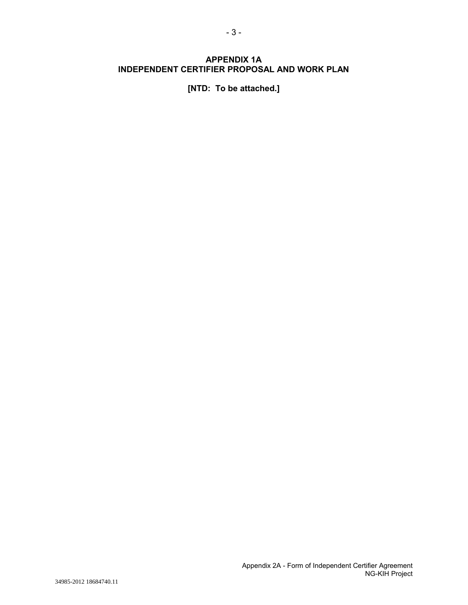# **APPENDIX 1A INDEPENDENT CERTIFIER PROPOSAL AND WORK PLAN**

**[NTD: To be attached.]**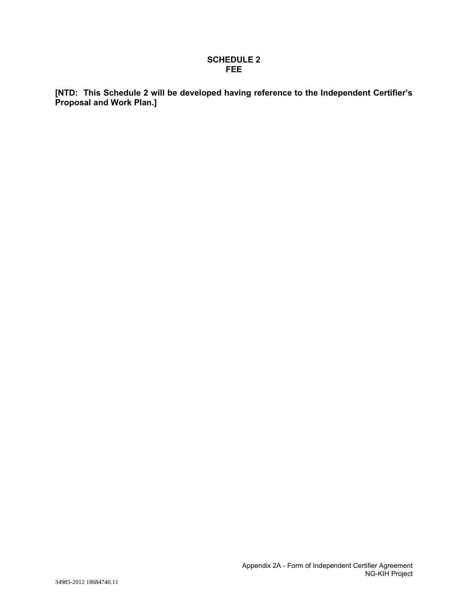#### **SCHEDULE 2 FEE**

**[NTD: This Schedule 2 will be developed having reference to the Independent Certifier's Proposal and Work Plan.]**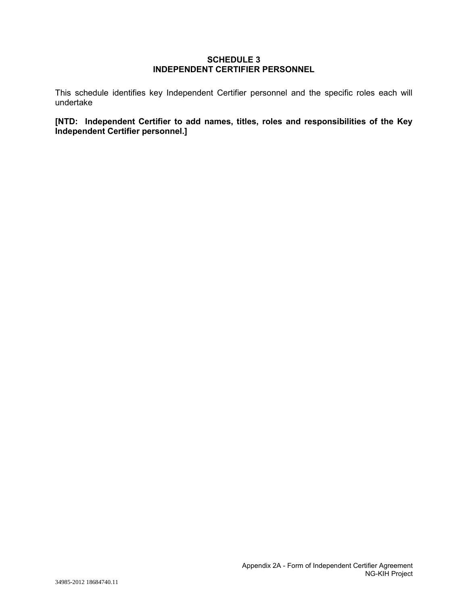#### **SCHEDULE 3 INDEPENDENT CERTIFIER PERSONNEL**

This schedule identifies key Independent Certifier personnel and the specific roles each will undertake

**[NTD: Independent Certifier to add names, titles, roles and responsibilities of the Key Independent Certifier personnel.]**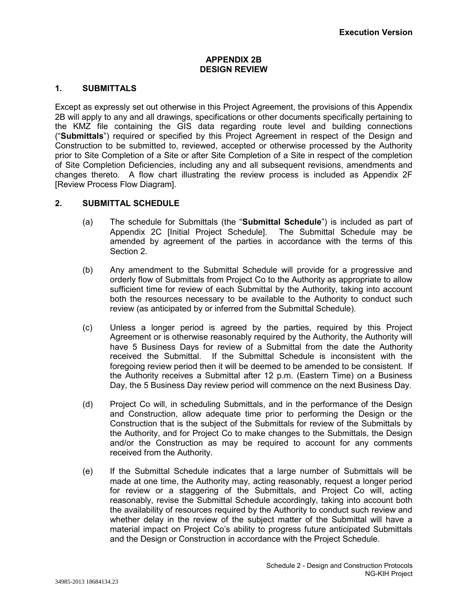#### **APPENDIX 2B DESIGN REVIEW**

# **1. SUBMITTALS**

Except as expressly set out otherwise in this Project Agreement, the provisions of this Appendix 2B will apply to any and all drawings, specifications or other documents specifically pertaining to the KMZ file containing the GIS data regarding route level and building connections ("**Submittals**") required or specified by this Project Agreement in respect of the Design and Construction to be submitted to, reviewed, accepted or otherwise processed by the Authority prior to Site Completion of a Site or after Site Completion of a Site in respect of the completion of Site Completion Deficiencies, including any and all subsequent revisions, amendments and changes thereto. A flow chart illustrating the review process is included as Appendix 2F [Review Process Flow Diagram].

## **2. SUBMITTAL SCHEDULE**

- (a) The schedule for Submittals (the "**Submittal Schedule**") is included as part of Appendix 2C [Initial Project Schedule]. The Submittal Schedule may be amended by agreement of the parties in accordance with the terms of this Section 2.
- (b) Any amendment to the Submittal Schedule will provide for a progressive and orderly flow of Submittals from Project Co to the Authority as appropriate to allow sufficient time for review of each Submittal by the Authority, taking into account both the resources necessary to be available to the Authority to conduct such review (as anticipated by or inferred from the Submittal Schedule).
- (c) Unless a longer period is agreed by the parties, required by this Project Agreement or is otherwise reasonably required by the Authority, the Authority will have 5 Business Days for review of a Submittal from the date the Authority received the Submittal. If the Submittal Schedule is inconsistent with the foregoing review period then it will be deemed to be amended to be consistent. If the Authority receives a Submittal after 12 p.m. (Eastern Time) on a Business Day, the 5 Business Day review period will commence on the next Business Day.
- (d) Project Co will, in scheduling Submittals, and in the performance of the Design and Construction, allow adequate time prior to performing the Design or the Construction that is the subject of the Submittals for review of the Submittals by the Authority, and for Project Co to make changes to the Submittals, the Design and/or the Construction as may be required to account for any comments received from the Authority.
- (e) If the Submittal Schedule indicates that a large number of Submittals will be made at one time, the Authority may, acting reasonably, request a longer period for review or a staggering of the Submittals, and Project Co will, acting reasonably, revise the Submittal Schedule accordingly, taking into account both the availability of resources required by the Authority to conduct such review and whether delay in the review of the subject matter of the Submittal will have a material impact on Project Co's ability to progress future anticipated Submittals and the Design or Construction in accordance with the Project Schedule.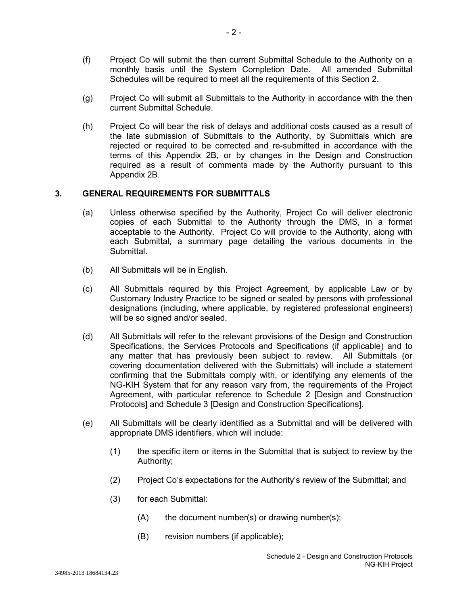- (f) Project Co will submit the then current Submittal Schedule to the Authority on a monthly basis until the System Completion Date. All amended Submittal Schedules will be required to meet all the requirements of this Section 2.
- (g) Project Co will submit all Submittals to the Authority in accordance with the then current Submittal Schedule.
- (h) Project Co will bear the risk of delays and additional costs caused as a result of the late submission of Submittals to the Authority, by Submittals which are rejected or required to be corrected and re-submitted in accordance with the terms of this Appendix 2B, or by changes in the Design and Construction required as a result of comments made by the Authority pursuant to this Appendix 2B.

# **3. GENERAL REQUIREMENTS FOR SUBMITTALS**

- (a) Unless otherwise specified by the Authority, Project Co will deliver electronic copies of each Submittal to the Authority through the DMS, in a format acceptable to the Authority. Project Co will provide to the Authority, along with each Submittal, a summary page detailing the various documents in the Submittal.
- (b) All Submittals will be in English.
- (c) All Submittals required by this Project Agreement, by applicable Law or by Customary Industry Practice to be signed or sealed by persons with professional designations (including, where applicable, by registered professional engineers) will be so signed and/or sealed.
- (d) All Submittals will refer to the relevant provisions of the Design and Construction Specifications, the Services Protocols and Specifications (if applicable) and to any matter that has previously been subject to review. All Submittals (or covering documentation delivered with the Submittals) will include a statement confirming that the Submittals comply with, or identifying any elements of the NG-KIH System that for any reason vary from, the requirements of the Project Agreement, with particular reference to Schedule 2 [Design and Construction Protocols] and Schedule 3 [Design and Construction Specifications].
- (e) All Submittals will be clearly identified as a Submittal and will be delivered with appropriate DMS identifiers, which will include:
	- (1) the specific item or items in the Submittal that is subject to review by the Authority;
	- (2) Project Co's expectations for the Authority's review of the Submittal; and
	- (3) for each Submittal:
		- (A) the document number(s) or drawing number(s);
		- (B) revision numbers (if applicable);

34985-2013 18684134.23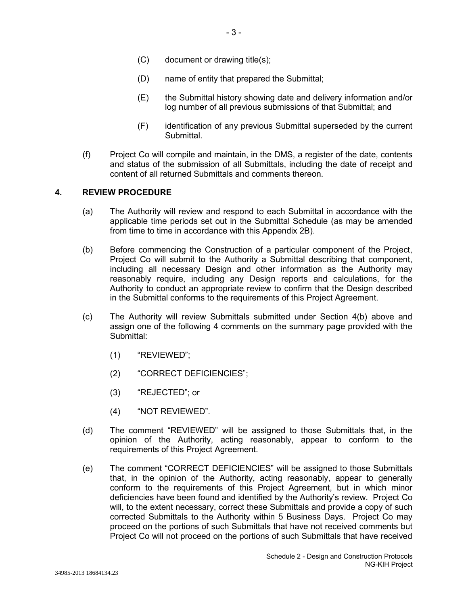- (C) document or drawing title(s);
- (D) name of entity that prepared the Submittal;
- (E) the Submittal history showing date and delivery information and/or log number of all previous submissions of that Submittal; and
- (F) identification of any previous Submittal superseded by the current Submittal.
- (f) Project Co will compile and maintain, in the DMS, a register of the date, contents and status of the submission of all Submittals, including the date of receipt and content of all returned Submittals and comments thereon.

#### **4. REVIEW PROCEDURE**

- (a) The Authority will review and respond to each Submittal in accordance with the applicable time periods set out in the Submittal Schedule (as may be amended from time to time in accordance with this Appendix 2B).
- (b) Before commencing the Construction of a particular component of the Project, Project Co will submit to the Authority a Submittal describing that component, including all necessary Design and other information as the Authority may reasonably require, including any Design reports and calculations, for the Authority to conduct an appropriate review to confirm that the Design described in the Submittal conforms to the requirements of this Project Agreement.
- (c) The Authority will review Submittals submitted under Section 4(b) above and assign one of the following 4 comments on the summary page provided with the Submittal:
	- (1) "REVIEWED";
	- (2) "CORRECT DEFICIENCIES";
	- (3) "REJECTED"; or
	- (4) "NOT REVIEWED".
- (d) The comment "REVIEWED" will be assigned to those Submittals that, in the opinion of the Authority, acting reasonably, appear to conform to the requirements of this Project Agreement.
- (e) The comment "CORRECT DEFICIENCIES" will be assigned to those Submittals that, in the opinion of the Authority, acting reasonably, appear to generally conform to the requirements of this Project Agreement, but in which minor deficiencies have been found and identified by the Authority's review. Project Co will, to the extent necessary, correct these Submittals and provide a copy of such corrected Submittals to the Authority within 5 Business Days. Project Co may proceed on the portions of such Submittals that have not received comments but Project Co will not proceed on the portions of such Submittals that have received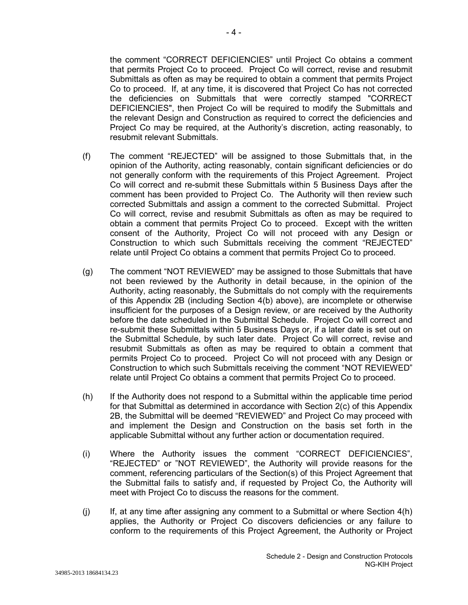the comment "CORRECT DEFICIENCIES" until Project Co obtains a comment that permits Project Co to proceed. Project Co will correct, revise and resubmit Submittals as often as may be required to obtain a comment that permits Project Co to proceed. If, at any time, it is discovered that Project Co has not corrected the deficiencies on Submittals that were correctly stamped "CORRECT DEFICIENCIES", then Project Co will be required to modify the Submittals and the relevant Design and Construction as required to correct the deficiencies and Project Co may be required, at the Authority's discretion, acting reasonably, to resubmit relevant Submittals.

- (f) The comment "REJECTED" will be assigned to those Submittals that, in the opinion of the Authority, acting reasonably, contain significant deficiencies or do not generally conform with the requirements of this Project Agreement. Project Co will correct and re-submit these Submittals within 5 Business Days after the comment has been provided to Project Co. The Authority will then review such corrected Submittals and assign a comment to the corrected Submittal. Project Co will correct, revise and resubmit Submittals as often as may be required to obtain a comment that permits Project Co to proceed. Except with the written consent of the Authority, Project Co will not proceed with any Design or Construction to which such Submittals receiving the comment "REJECTED" relate until Project Co obtains a comment that permits Project Co to proceed.
- (g) The comment "NOT REVIEWED" may be assigned to those Submittals that have not been reviewed by the Authority in detail because, in the opinion of the Authority, acting reasonably, the Submittals do not comply with the requirements of this Appendix 2B (including Section 4(b) above), are incomplete or otherwise insufficient for the purposes of a Design review, or are received by the Authority before the date scheduled in the Submittal Schedule. Project Co will correct and re-submit these Submittals within 5 Business Days or, if a later date is set out on the Submittal Schedule, by such later date. Project Co will correct, revise and resubmit Submittals as often as may be required to obtain a comment that permits Project Co to proceed. Project Co will not proceed with any Design or Construction to which such Submittals receiving the comment "NOT REVIEWED" relate until Project Co obtains a comment that permits Project Co to proceed.
- (h) If the Authority does not respond to a Submittal within the applicable time period for that Submittal as determined in accordance with Section 2(c) of this Appendix 2B, the Submittal will be deemed "REVIEWED" and Project Co may proceed with and implement the Design and Construction on the basis set forth in the applicable Submittal without any further action or documentation required.
- (i) Where the Authority issues the comment "CORRECT DEFICIENCIES", "REJECTED" or "NOT REVIEWED", the Authority will provide reasons for the comment, referencing particulars of the Section(s) of this Project Agreement that the Submittal fails to satisfy and, if requested by Project Co, the Authority will meet with Project Co to discuss the reasons for the comment.
- $(i)$  If, at any time after assigning any comment to a Submittal or where Section  $4(h)$ applies, the Authority or Project Co discovers deficiencies or any failure to conform to the requirements of this Project Agreement, the Authority or Project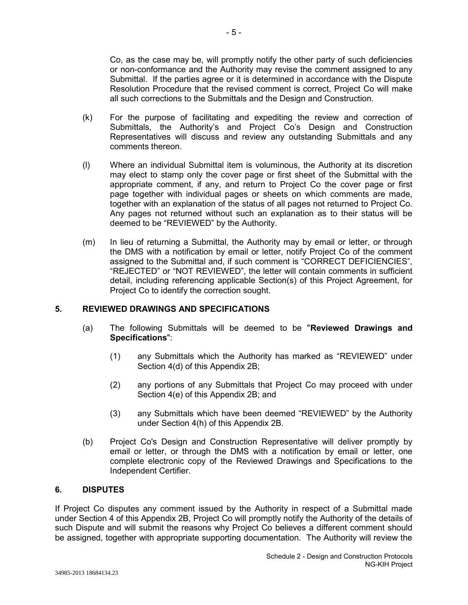Co, as the case may be, will promptly notify the other party of such deficiencies or non-conformance and the Authority may revise the comment assigned to any Submittal. If the parties agree or it is determined in accordance with the Dispute Resolution Procedure that the revised comment is correct, Project Co will make all such corrections to the Submittals and the Design and Construction.

- (k) For the purpose of facilitating and expediting the review and correction of Submittals, the Authority's and Project Co's Design and Construction Representatives will discuss and review any outstanding Submittals and any comments thereon.
- (l) Where an individual Submittal item is voluminous, the Authority at its discretion may elect to stamp only the cover page or first sheet of the Submittal with the appropriate comment, if any, and return to Project Co the cover page or first page together with individual pages or sheets on which comments are made, together with an explanation of the status of all pages not returned to Project Co. Any pages not returned without such an explanation as to their status will be deemed to be "REVIEWED" by the Authority.
- (m) In lieu of returning a Submittal, the Authority may by email or letter, or through the DMS with a notification by email or letter, notify Project Co of the comment assigned to the Submittal and, if such comment is "CORRECT DEFICIENCIES", "REJECTED" or "NOT REVIEWED", the letter will contain comments in sufficient detail, including referencing applicable Section(s) of this Project Agreement, for Project Co to identify the correction sought.

# **5. REVIEWED DRAWINGS AND SPECIFICATIONS**

- (a) The following Submittals will be deemed to be "**Reviewed Drawings and Specifications**":
	- (1) any Submittals which the Authority has marked as "REVIEWED" under Section 4(d) of this Appendix 2B;
	- (2) any portions of any Submittals that Project Co may proceed with under Section 4(e) of this Appendix 2B; and
	- (3) any Submittals which have been deemed "REVIEWED" by the Authority under Section 4(h) of this Appendix 2B.
- (b) Project Co's Design and Construction Representative will deliver promptly by email or letter, or through the DMS with a notification by email or letter, one complete electronic copy of the Reviewed Drawings and Specifications to the Independent Certifier.

#### **6. DISPUTES**

If Project Co disputes any comment issued by the Authority in respect of a Submittal made under Section 4 of this Appendix 2B, Project Co will promptly notify the Authority of the details of such Dispute and will submit the reasons why Project Co believes a different comment should be assigned, together with appropriate supporting documentation. The Authority will review the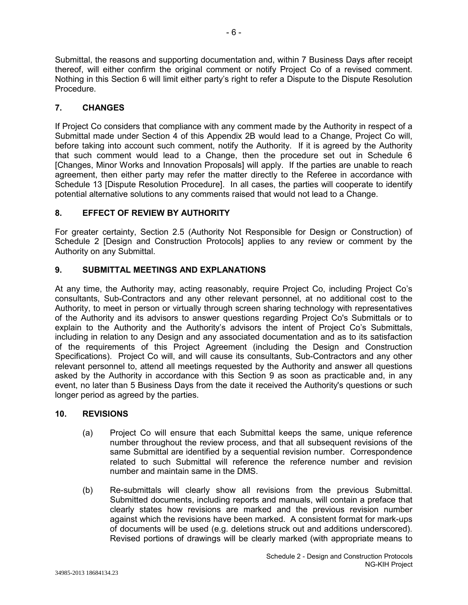Submittal, the reasons and supporting documentation and, within 7 Business Days after receipt thereof, will either confirm the original comment or notify Project Co of a revised comment. Nothing in this Section 6 will limit either party's right to refer a Dispute to the Dispute Resolution Procedure.

# **7. CHANGES**

If Project Co considers that compliance with any comment made by the Authority in respect of a Submittal made under Section 4 of this Appendix 2B would lead to a Change, Project Co will, before taking into account such comment, notify the Authority. If it is agreed by the Authority that such comment would lead to a Change, then the procedure set out in Schedule 6 [Changes, Minor Works and Innovation Proposals] will apply. If the parties are unable to reach agreement, then either party may refer the matter directly to the Referee in accordance with Schedule 13 [Dispute Resolution Procedure]. In all cases, the parties will cooperate to identify potential alternative solutions to any comments raised that would not lead to a Change.

# **8. EFFECT OF REVIEW BY AUTHORITY**

For greater certainty, Section 2.5 (Authority Not Responsible for Design or Construction) of Schedule 2 [Design and Construction Protocols] applies to any review or comment by the Authority on any Submittal.

# **9. SUBMITTAL MEETINGS AND EXPLANATIONS**

At any time, the Authority may, acting reasonably, require Project Co, including Project Co's consultants, Sub-Contractors and any other relevant personnel, at no additional cost to the Authority, to meet in person or virtually through screen sharing technology with representatives of the Authority and its advisors to answer questions regarding Project Co's Submittals or to explain to the Authority and the Authority's advisors the intent of Project Co's Submittals, including in relation to any Design and any associated documentation and as to its satisfaction of the requirements of this Project Agreement (including the Design and Construction Specifications). Project Co will, and will cause its consultants, Sub-Contractors and any other relevant personnel to, attend all meetings requested by the Authority and answer all questions asked by the Authority in accordance with this Section 9 as soon as practicable and, in any event, no later than 5 Business Days from the date it received the Authority's questions or such longer period as agreed by the parties.

# **10. REVISIONS**

- (a) Project Co will ensure that each Submittal keeps the same, unique reference number throughout the review process, and that all subsequent revisions of the same Submittal are identified by a sequential revision number. Correspondence related to such Submittal will reference the reference number and revision number and maintain same in the DMS.
- (b) Re-submittals will clearly show all revisions from the previous Submittal. Submitted documents, including reports and manuals, will contain a preface that clearly states how revisions are marked and the previous revision number against which the revisions have been marked. A consistent format for mark-ups of documents will be used (e.g. deletions struck out and additions underscored). Revised portions of drawings will be clearly marked (with appropriate means to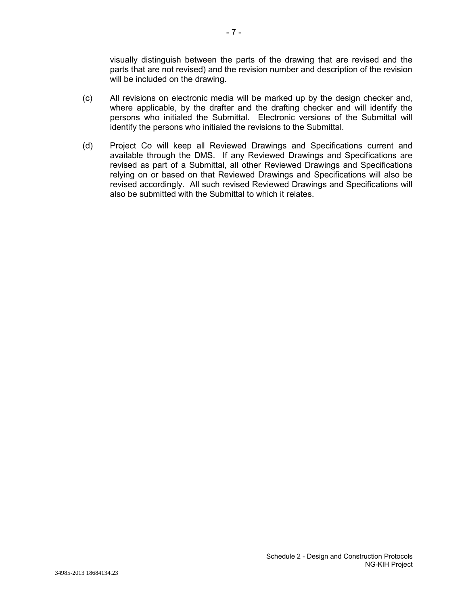visually distinguish between the parts of the drawing that are revised and the parts that are not revised) and the revision number and description of the revision will be included on the drawing.

- (c) All revisions on electronic media will be marked up by the design checker and, where applicable, by the drafter and the drafting checker and will identify the persons who initialed the Submittal. Electronic versions of the Submittal will identify the persons who initialed the revisions to the Submittal.
- (d) Project Co will keep all Reviewed Drawings and Specifications current and available through the DMS. If any Reviewed Drawings and Specifications are revised as part of a Submittal, all other Reviewed Drawings and Specifications relying on or based on that Reviewed Drawings and Specifications will also be revised accordingly. All such revised Reviewed Drawings and Specifications will also be submitted with the Submittal to which it relates.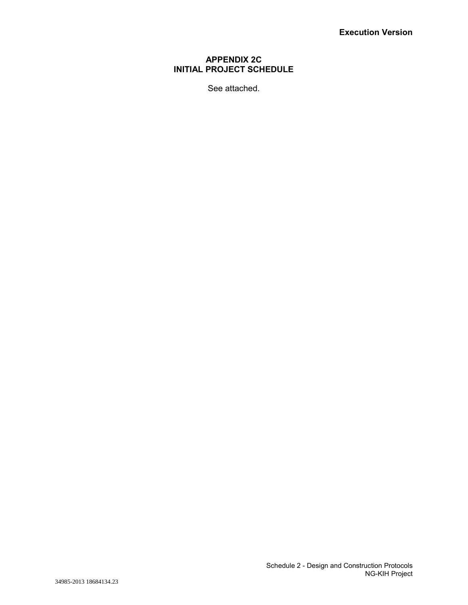# **APPENDIX 2C INITIAL PROJECT SCHEDULE**

See attached.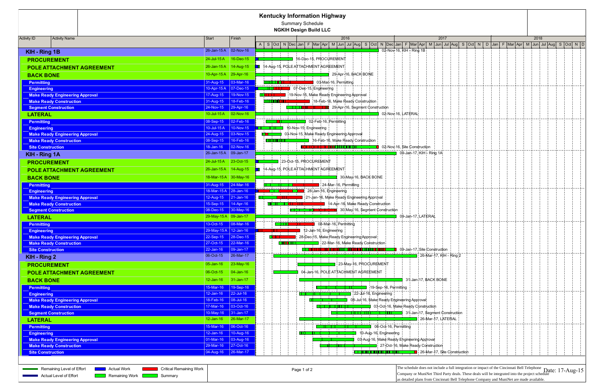| <b>Kentucky Information Highway</b> |                                                                                   |                       |                                        |                                                                                                                                                                                                                                                                                     |      |  |  |  |
|-------------------------------------|-----------------------------------------------------------------------------------|-----------------------|----------------------------------------|-------------------------------------------------------------------------------------------------------------------------------------------------------------------------------------------------------------------------------------------------------------------------------------|------|--|--|--|
| <b>Summary Schedule</b>             |                                                                                   |                       |                                        |                                                                                                                                                                                                                                                                                     |      |  |  |  |
| <b>NGKIH Design Build LLC</b>       |                                                                                   |                       |                                        |                                                                                                                                                                                                                                                                                     |      |  |  |  |
| <b>Activity ID</b>                  | <b>Activity Name</b>                                                              | Start                 | Finish                                 | 2016<br>2017                                                                                                                                                                                                                                                                        | 2018 |  |  |  |
|                                     |                                                                                   |                       |                                        | A Soci N Dec Jan  F Mar Apr  M  Jun  Jul Aug  S  Oct  N  Dec Jan  F  Mar Apr  M  Jun  Jul Aug  S  Oct  N   D  Jan  F  Mar Apr  M  Jun  Jul Aug  S  Oct  N   D                                                                                                                       |      |  |  |  |
| KIH - Ring 1B                       |                                                                                   |                       | 26-Jan-15 A 02-Nov-16                  | 02-Nov-16, KIH - Ring 1B                                                                                                                                                                                                                                                            |      |  |  |  |
|                                     | <b>PROCUREMENT</b>                                                                |                       | 24-Jul-15 A   16-Dec-15                | 16-Dec-15, PROCUREMENT                                                                                                                                                                                                                                                              |      |  |  |  |
|                                     | <b>POLE ATTACHMENT AGREEMENT</b>                                                  |                       | 26-Jan-15 A 14-Aug-15                  | 14-Aug-15, POLE ATTACHMENT AGREEMENT                                                                                                                                                                                                                                                |      |  |  |  |
| <b>BACK BONE</b>                    |                                                                                   |                       | 10-Apr-15 A 29-Apr-16                  | 29-Apr-16, BACK BONE                                                                                                                                                                                                                                                                |      |  |  |  |
|                                     |                                                                                   |                       |                                        | the contract of the contract of the contract of the contract of the contract of the contract of                                                                                                                                                                                     |      |  |  |  |
| <b>Permitting</b>                   |                                                                                   | 31-Aug-15             | $ 03-Mar-16 $<br>10-Apr-15 A 07-Dec-15 | 03-Mar-16, Permitting<br><b>THEFT O7-Dec-15, Engineering</b>                                                                                                                                                                                                                        |      |  |  |  |
| <b>Engineering</b>                  | <b>Make Ready Engineering Approval</b>                                            |                       |                                        | 1:19-Nov-15, Make Ready Engineering Approval                                                                                                                                                                                                                                        |      |  |  |  |
|                                     | <b>Make Ready Construction</b>                                                    |                       |                                        | 18-Feb-16, Make Ready Construction                                                                                                                                                                                                                                                  |      |  |  |  |
|                                     | <b>Segment Construction</b>                                                       |                       | 24-Nov-15 29-Apr-16                    | <b>COLLECTION CONTINUES</b> 29-Apr-16, Segment Construction                                                                                                                                                                                                                         |      |  |  |  |
| <b>LATERAL</b>                      |                                                                                   |                       | 10-Jul-15 A 02-Nov-16                  | 02-Nov-16, LATERAL                                                                                                                                                                                                                                                                  |      |  |  |  |
| <b>Permitting</b>                   |                                                                                   |                       | 08-Sep-15 02-Feb-16                    | <u> 22 de estados de la contrada de la contrada de la contrada de la con</u><br>02-Feb-16, Permitting                                                                                                                                                                               |      |  |  |  |
| <b>Engineering</b>                  |                                                                                   |                       | 10-Jul-15 A $ 10-Nov-15 $              | 10-Nov-15, Engineering                                                                                                                                                                                                                                                              |      |  |  |  |
|                                     | <b>Make Ready Engineering Approval</b>                                            | 24-Aug-15             | 03-Nov-15                              | 03-Nov-15, Make Ready Engineering Approval                                                                                                                                                                                                                                          |      |  |  |  |
|                                     | <b>Make Ready Construction</b>                                                    |                       |                                        | <b>CHLIFFITTI CONTROL</b> 16-Feb-16, Make Ready Construction                                                                                                                                                                                                                        |      |  |  |  |
|                                     | <b>Site Construction</b>                                                          |                       | $18 - Jan - 16$ 02-Nov-16              | <u>Teis III din si shi ne shi ne</u><br>02-Nov-16, Site Construction                                                                                                                                                                                                                |      |  |  |  |
| <b>KIH - Ring 1A</b>                |                                                                                   | 26-Jan-15 A 09-Jan-17 |                                        | <u> 1999 - 1999 - 1999 - 1999 - 1999 - 1999 - 1999 - 1999 - 1999 - 1999 - 1999 - 1999 - 1999 - 1999 - 1999 - 199</u><br>09-Jah-17, KIH - Ring 1A                                                                                                                                    |      |  |  |  |
|                                     |                                                                                   |                       | 24-Jul-15 A 23-Oct-15                  | 23-Oct-15, PROCUREMENT                                                                                                                                                                                                                                                              |      |  |  |  |
|                                     | <b>PROCUREMENT</b>                                                                |                       |                                        |                                                                                                                                                                                                                                                                                     |      |  |  |  |
|                                     | POLE ATTACHMENT AGREEMENT                                                         |                       | 26-Jan-15 A   14-Aug-15                | 14-Aug-15, POLE ATTACHMENT AGREEMENT                                                                                                                                                                                                                                                |      |  |  |  |
| <b>BACK BONE</b>                    |                                                                                   |                       | 18-Mar-15 A 30-May-16                  | 30-May-16, BACK BONE<br><b>All Carlos Andrew Administrations</b>                                                                                                                                                                                                                    |      |  |  |  |
| <b>Permitting</b>                   |                                                                                   |                       | $31 - Aug-15$ 24-Mar-16                | <b>THE INSTITUTE OF A SET OF A SET OF A SET OF A SET OF A SET OF A SET OF A SET OF A SET OF A SET OF A SET OF A S</b>                                                                                                                                                               |      |  |  |  |
| <b>Engineering</b>                  |                                                                                   |                       | 18-Mar-15A 28-Jan-16                   |                                                                                                                                                                                                                                                                                     |      |  |  |  |
|                                     | <b>Make Ready Engineering Approval</b>                                            |                       | $12-Aug-15$ 21-Jan-16                  | 21-Jan-16, Make Ready Engineering Approval                                                                                                                                                                                                                                          |      |  |  |  |
|                                     | <b>Make Ready Construction</b>                                                    |                       |                                        | <b>THE TELECTION</b> 14-Apr-16, Make Ready Construction<br><u> Till Star for Britain Star Fran</u>                                                                                                                                                                                  |      |  |  |  |
|                                     | <b>Segment Construction</b>                                                       |                       | 08-Dec-15 30-May-16                    | May 16, Segment Construction                                                                                                                                                                                                                                                        |      |  |  |  |
| <b>LATERAL</b>                      |                                                                                   | 29-May-15 A 09-Jan-17 |                                        | 09-Jah-17. LATERAL                                                                                                                                                                                                                                                                  |      |  |  |  |
| <b>Permitting</b>                   |                                                                                   |                       | $13-Oct-15$ 08-Mar-16                  | 08-Mar-16, Permitting<br><b>Report Follo</b>                                                                                                                                                                                                                                        |      |  |  |  |
| <b>Engineering</b>                  |                                                                                   |                       | 29-May-15 A 12-Jan-16                  | 12-Jan-16, Engineering                                                                                                                                                                                                                                                              |      |  |  |  |
|                                     | <b>Make Ready Engineering Approval</b>                                            |                       | $22-Sep-15$ 28-Dec-15                  | 28-Dec-15, Make Ready Engineering Approval                                                                                                                                                                                                                                          |      |  |  |  |
|                                     | <b>Make Ready Construction</b>                                                    |                       | 27-Oct-15 22-Mar-16                    | 22-Mar-16, Make Ready Construction                                                                                                                                                                                                                                                  |      |  |  |  |
|                                     | <b>Site Construction</b>                                                          | $22 - Jan - 16$       | $ 09 - Jan - 17 $                      | <u> 1 maja 1990 - Patri Parang Manazarta dan Bandar Bandar Bandar Bandar Bandar Bandar Bandar Bandar Bandar Bandar</u><br><b>CODITY:</b> O9-Jan-17, Site: Construction<br>Joseph Cool Joseph Cool because and a cool of the Joseph Cool because the cool of the cool of the cool of |      |  |  |  |
| KIH - Ring 2                        |                                                                                   | 06-Oct-15             | 26-Mar-17                              | 26-Mar-17, KIH - Ring 2<br>しんばん はんばん はんばん はんばん はんばんばん                                                                                                                                                                                                                               |      |  |  |  |
|                                     | <b>PROCUREMENT</b>                                                                | 05-Jan-16             | 23-May-16                              | 23-May-16, PROCUREMENT                                                                                                                                                                                                                                                              |      |  |  |  |
|                                     | POLE ATTACHMENT AGREEMENT                                                         | 06-Oct-15             | $ 04 - Jan - 16 $                      | 04-Jan-16, POLE ATTACHMENT AGREEMENT                                                                                                                                                                                                                                                |      |  |  |  |
| <b>BACK BONE</b>                    |                                                                                   | $12 - Jan - 16$       | $31$ -Jan-17                           | 31-Jan-17, BACK BONE                                                                                                                                                                                                                                                                |      |  |  |  |
| <b>Permitting</b>                   |                                                                                   | 15-Mar-16             | $19-Sep-16$                            | ni di serie di serie di serie di serie di serie di serie di serie di serie di serie di serie di serie di serie<br><b>THE TWO THEFT 19-Sep-16, Permitting</b>                                                                                                                        |      |  |  |  |
| <b>Engineering</b>                  |                                                                                   | $12$ -Jan-16          | $ 22 -$ Jul-16                         | --------------------------------<br>22-Jul-16, Engineering                                                                                                                                                                                                                          |      |  |  |  |
|                                     | <b>Make Ready Engineering Approval</b>                                            | 18-Feb-16             | $ 08 -$ Jul-16                         | 08-Jul-16, Make Ready Engineering Approval                                                                                                                                                                                                                                          |      |  |  |  |
|                                     | <b>Make Ready Construction</b>                                                    | 17-Mar-16             | $\vert$ 03-Oct-16                      | 03-Oct-16, Make Ready Construction<br><u>ma kasas sa mga sangayon ng mga sangayon ng mga sangayon ng mga sangayon ng mga sangayon ng mga sangayon ng mga sangayon ng mga sangayon ng mga sangayon ng mga sangayon ng mga sangayon ng mga sangayon ng mga sangayon ng m</u>          |      |  |  |  |
|                                     | <b>Segment Construction</b>                                                       |                       | $10 - May - 16$ 31-Jan-17              | <b>TILLI TILL TILLI 1999</b> 31-Jan-17, Segment Construction                                                                                                                                                                                                                        |      |  |  |  |
| <b>LATERAL</b>                      |                                                                                   |                       | $12$ -Jan-16 26-Mar-17                 | 26-Mar-17, LATERAL                                                                                                                                                                                                                                                                  |      |  |  |  |
| <b>Permitting</b>                   |                                                                                   | 15-Mar-16             | $ 06$ -Oct-16                          | 06-Oct-16, Permitting                                                                                                                                                                                                                                                               |      |  |  |  |
| <b>Engineering</b>                  |                                                                                   | $12 - Jan - 16$       | $10-Aug-16$                            | 10-Aug-16, Engineering                                                                                                                                                                                                                                                              |      |  |  |  |
|                                     | <b>Make Ready Engineering Approval</b>                                            |                       |                                        | 03-Aug-16, Make Ready Engineering Approval                                                                                                                                                                                                                                          |      |  |  |  |
|                                     | <b>Make Ready Construction</b>                                                    |                       | 29-Mar-16 27-Oct-16                    | 27-Oct-16, Make Ready Construction                                                                                                                                                                                                                                                  |      |  |  |  |
|                                     | <b>Site Construction</b>                                                          |                       | $04 - Aug - 16$ 26-Mar-17              | <b>Example 26-Mar-17, Site Construction</b>                                                                                                                                                                                                                                         |      |  |  |  |
|                                     |                                                                                   |                       |                                        |                                                                                                                                                                                                                                                                                     |      |  |  |  |
|                                     |                                                                                   |                       |                                        |                                                                                                                                                                                                                                                                                     |      |  |  |  |
|                                     | <b>Critical Remaining Work</b><br>Remaining Level of Effort<br><b>Actual Work</b> |                       |                                        | The schedule does not include a full integration or impact of the Cincinnati Bell Telephone Date: 17-Aug-15<br>Page 1 of 2<br>Company or MuniNet Third Party deals. These deals will be integrated into the project schedule                                                        |      |  |  |  |
|                                     | <b>Actual Level of Effort</b><br>Remaining Work  <br>Summary                      |                       |                                        | as detailed plans from Cincinnati Bell Telephone Company and MuniNet are made available.                                                                                                                                                                                            |      |  |  |  |
|                                     |                                                                                   |                       |                                        |                                                                                                                                                                                                                                                                                     |      |  |  |  |

| <b>INGITIALITIES LOVES OF LITUIT</b> | AGUAI <i>VVOL</i> N | <b>UNIUCALINCHIALING VYUIN</b> | Page 1 or 2 | ---- ----------   |
|--------------------------------------|---------------------|--------------------------------|-------------|-------------------|
| <b>Actual Level of Effort</b>        | Remaining Work      | Summary                        |             | ICompany or M     |
|                                      |                     |                                |             | las detailed plai |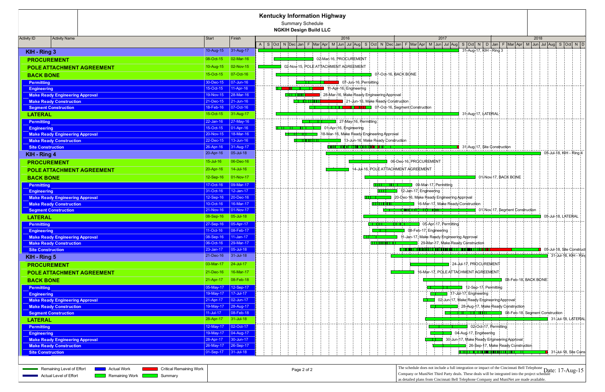|                          |                                                                                                                                                                             |                       |                             | <b>Kentucky Information Highway</b><br>Summary Schedule                                                                                                               |                                                                                                                                                                                                                                                        |                          |
|--------------------------|-----------------------------------------------------------------------------------------------------------------------------------------------------------------------------|-----------------------|-----------------------------|-----------------------------------------------------------------------------------------------------------------------------------------------------------------------|--------------------------------------------------------------------------------------------------------------------------------------------------------------------------------------------------------------------------------------------------------|--------------------------|
|                          |                                                                                                                                                                             |                       |                             | <b>NGKIH Design Build LLC</b>                                                                                                                                         |                                                                                                                                                                                                                                                        |                          |
| <b>Activity ID</b>       | <b>Activity Name</b>                                                                                                                                                        | <b>Start</b>          | Finish                      | 2016                                                                                                                                                                  | 2017<br>2018                                                                                                                                                                                                                                           |                          |
|                          |                                                                                                                                                                             |                       |                             | A Soci N Dec Jan  F  Mar Apr  M  Jun  Jul  Aug  S  Oct  N  Dec Jan  F  Mar Apr  M  Jun  Jul  Aug  S  Oct  N   D  Jan  F  Mar Apr  M  Jun  Jul  Aug  S  Oct  N   D     |                                                                                                                                                                                                                                                        |                          |
| KIH - Ring 3             |                                                                                                                                                                             |                       | 10-Aug-15 31-Aug-17         |                                                                                                                                                                       | 31-Aug-17, KIH - Ring 3                                                                                                                                                                                                                                |                          |
| <b>PROCUREMENT</b>       |                                                                                                                                                                             | 08-Oct-15             | 02-Mar-16                   | 02-Mar-16, PROCUREMENT                                                                                                                                                |                                                                                                                                                                                                                                                        |                          |
|                          | <b>POLE ATTACHMENT AGREEMENT</b>                                                                                                                                            | 10-Aug-15             | 02-Nov-15                   | 02-Nov-15, POLE ATTACHMENT AGREEMENT                                                                                                                                  |                                                                                                                                                                                                                                                        |                          |
| <b>BACK BONE</b>         |                                                                                                                                                                             | 15-Oct-15             | 07-Oct-16                   | 07-Oct-16. BACK BONE                                                                                                                                                  |                                                                                                                                                                                                                                                        |                          |
| <b>Permitting</b>        |                                                                                                                                                                             | 30-Dec-15             | $ 07 - Jun - 16 $           | na na kaominina mpikambana amin'ny fivondronan-kaominin'i Castro ao amin'ny fivondronan-kaominin'i Eure-Amerika<br>07-Jun-16, Permitting<br>a sa B                    |                                                                                                                                                                                                                                                        |                          |
| <b>Engineering</b>       |                                                                                                                                                                             | 15-Oct-15             | $11-Apr-16$                 | 11-Apr-16, Engineering                                                                                                                                                |                                                                                                                                                                                                                                                        |                          |
|                          | <b>Make Ready Engineering Approval</b>                                                                                                                                      |                       | 19-Nov-15 28-Mar-16         | 28-Mar-16, Make Ready Engineering Approval                                                                                                                            |                                                                                                                                                                                                                                                        |                          |
|                          | <b>Make Ready Construction</b>                                                                                                                                              |                       | $21 - Dec - 15$ 21-Jun-16   | 21-Jun-16, Make Ready Construction                                                                                                                                    |                                                                                                                                                                                                                                                        |                          |
|                          | <b>Segment Construction</b>                                                                                                                                                 |                       |                             | 07-Oct-16, Segment Construction                                                                                                                                       |                                                                                                                                                                                                                                                        |                          |
| <b>LATERAL</b>           |                                                                                                                                                                             |                       | 15-Oct-15 31-Aug-17         |                                                                                                                                                                       | 31-Aug-17, LATERAL                                                                                                                                                                                                                                     |                          |
| <b>Permitting</b>        |                                                                                                                                                                             | $22$ -Jan-16          | $ 27-May-16 $               | 27-May-16, Permitting                                                                                                                                                 |                                                                                                                                                                                                                                                        |                          |
| <b>Engineering</b>       |                                                                                                                                                                             | $15$ -Oct-15          | $ 01 - Apr - 16 $           | 01-Apr-16, Engineering                                                                                                                                                |                                                                                                                                                                                                                                                        |                          |
|                          | <b>Make Ready Engineering Approval</b>                                                                                                                                      |                       | 20-Nov-15   18-Mar-16       | 18-Mar-16, Make Ready Engineering Approval<br><u>in andre se est un matematique de la propie de la propie de la propie de la propie de la propie de la propie de </u> |                                                                                                                                                                                                                                                        |                          |
|                          | <b>Make Ready Construction</b>                                                                                                                                              |                       | 22-Dec-15 13-Jun-16         | 13-Jun-16, Make Ready Construction                                                                                                                                    |                                                                                                                                                                                                                                                        |                          |
| <b>Site Construction</b> |                                                                                                                                                                             | 26-Apr-16             | $ 31 - Aug-17 $             | <u>TELEVISIONISTI SELEVISIONISTI SELEVISIONISTI SELEVISIONISTI SELEVISIONISTI SELEVISIONISTI SELEVISIONISTI SELEV</u>                                                 | 31-Aug-17, Site Construction                                                                                                                                                                                                                           |                          |
| KIH - Ring 4             |                                                                                                                                                                             | 20-Apr-16             | $\big  05 -$ Jul-18         |                                                                                                                                                                       |                                                                                                                                                                                                                                                        | 05-Jul-18, KIH - Ring 4  |
| <b>PROCUREMENT</b>       |                                                                                                                                                                             | $15$ -Jul-16          | 06-Dec-16                   | 06-Dec-16, PROCUREMENT                                                                                                                                                |                                                                                                                                                                                                                                                        |                          |
|                          | <b>POLE ATTACHMENT AGREEMENT</b>                                                                                                                                            | 20-Apr-16             | $14$ -Jul-16                | 14-Jul-16, POLE ATTACHMENT AGREEMENT                                                                                                                                  |                                                                                                                                                                                                                                                        |                          |
| <b>BACK BONE</b>         |                                                                                                                                                                             |                       | 12-Sep-16 01-Nov-17         |                                                                                                                                                                       | 01-Nov-17, BACK BONE                                                                                                                                                                                                                                   |                          |
| <b>Permitting</b>        |                                                                                                                                                                             | 17-Oct-16             | $\log_{10}$ Mar-17          | OP-Mar-17 Permitting                                                                                                                                                  |                                                                                                                                                                                                                                                        |                          |
| <b>Engineering</b>       |                                                                                                                                                                             |                       | $31-Oct-16$   12-Jan-17     |                                                                                                                                                                       |                                                                                                                                                                                                                                                        |                          |
|                          | <b>Make Ready Engineering Approval</b>                                                                                                                                      |                       | $12-Sep-16$ 20-Dec-16       | 20-Dec-16, Make Ready Engineering Approval                                                                                                                            |                                                                                                                                                                                                                                                        |                          |
|                          | <b>Make Ready Construction</b>                                                                                                                                              | 10-Oct-16             | $ 16-Mar-17 $               |                                                                                                                                                                       | 16-Mar-17, Make Ready Construction                                                                                                                                                                                                                     |                          |
|                          | <b>Segment Construction</b>                                                                                                                                                 |                       | 21-Nov-16  01-Nov-17        |                                                                                                                                                                       | 01-Nov-17, Segment Construction                                                                                                                                                                                                                        |                          |
| <b>LATERAL</b>           |                                                                                                                                                                             | 08-Sep-16 05-Jul-18   |                             |                                                                                                                                                                       |                                                                                                                                                                                                                                                        | 05-Jul-18, LATERAL       |
| <b>Permitting</b>        |                                                                                                                                                                             | 27-Sep-16             | $\big  05 - Apr - 17 \big $ | $\Box$ 05-Apr-17, Permitting                                                                                                                                          |                                                                                                                                                                                                                                                        |                          |
| <b>Engineering</b>       |                                                                                                                                                                             |                       | 11-Oct-16 08-Feb-17         | 08-Feb-17, Engineering                                                                                                                                                |                                                                                                                                                                                                                                                        |                          |
|                          | <b>Make Ready Engineering Approval</b>                                                                                                                                      |                       | 08-Sep-16   11-Jan-17       | 11-Jan-17, Make Ready Engineering Approval                                                                                                                            |                                                                                                                                                                                                                                                        |                          |
|                          | <b>Make Ready Construction</b>                                                                                                                                              | 06-Oct-16             | $ 29-Mar-17 $               |                                                                                                                                                                       | 29-Mar-17, Make Ready Construction                                                                                                                                                                                                                     |                          |
| <b>Site Construction</b> |                                                                                                                                                                             | $23 - Jan - 17$       | $\big  05 -$ Jul-18         |                                                                                                                                                                       |                                                                                                                                                                                                                                                        | 05-Jul-18, Site Construc |
| KIH - Ring 5             |                                                                                                                                                                             | 21-Dec-16 31-Jul-18   |                             | and the control of the control of the                                                                                                                                 |                                                                                                                                                                                                                                                        | 31-Jul-18, K H - Rir     |
| <b>PROCUREMENT</b>       |                                                                                                                                                                             | 03-Mar-17 24-Jul-17   |                             |                                                                                                                                                                       | 24-Jul-17, PROCUREMENT                                                                                                                                                                                                                                 |                          |
|                          | <b>POLE ATTACHMENT AGREEMENT</b>                                                                                                                                            |                       | 21-Dec-16   16-Mar-17       |                                                                                                                                                                       | 16-Mar-17, POLE ATTACHMENT AGREEMENT                                                                                                                                                                                                                   |                          |
| <b>BACK BONE</b>         |                                                                                                                                                                             |                       | 21-Apr-17 08-Feb-18         |                                                                                                                                                                       | 08-Feb-18, BACK BONE<br>in in the first state of the state of the state of the state of the state of the state of the state of the state of the state of the state of the state of the state of the state of the state of the state of the state of th |                          |
| <b>Permitting</b>        |                                                                                                                                                                             |                       | 05-May-17   12-Sep-17       |                                                                                                                                                                       | 12-Sep-17, Permitting                                                                                                                                                                                                                                  |                          |
| <b>Engineering</b>       |                                                                                                                                                                             | 19-May-17   17-Jul-17 |                             |                                                                                                                                                                       | -------------------<br>17-Jul-17, Engineering                                                                                                                                                                                                          |                          |
|                          | <b>Make Ready Engineering Approval</b>                                                                                                                                      | 21-Apr-17             | $\vert$ 02-Jun-17           |                                                                                                                                                                       | 02-Jun-17, Make Ready Engineering Approval                                                                                                                                                                                                             |                          |
|                          | <b>Make Ready Construction</b>                                                                                                                                              |                       | 19-May-17 28-Aug-17         |                                                                                                                                                                       | 28-Aug-17, Make Ready Construction                                                                                                                                                                                                                     |                          |
|                          | <b>Segment Construction</b>                                                                                                                                                 | $11$ -Jul-17          | $ 08 - \text{Feb} - 18 $    |                                                                                                                                                                       | 08-Feb-18, Segment Construction                                                                                                                                                                                                                        |                          |
| <b>LATERAL</b>           |                                                                                                                                                                             | 28-Apr-17 31-Jul-18   |                             |                                                                                                                                                                       |                                                                                                                                                                                                                                                        | 31-Jul-18, LATERA        |
| <b>Permitting</b>        |                                                                                                                                                                             | 12-May-17             | $\vert$ 02-Oct-17           |                                                                                                                                                                       | 02-Oct+17, Permitting                                                                                                                                                                                                                                  |                          |
| <b>Engineering</b>       |                                                                                                                                                                             |                       | 19-May-17  04-Aug-17        |                                                                                                                                                                       | 04-Aug-17, Engineering                                                                                                                                                                                                                                 |                          |
|                          | <b>Make Ready Engineering Approval</b>                                                                                                                                      |                       | 28-Apr-17 30-Jun-17         |                                                                                                                                                                       | 30-Jun-17, Make Ready Engineering Approval                                                                                                                                                                                                             |                          |
| <b>Site Construction</b> | <b>Make Ready Construction</b>                                                                                                                                              | 01-Sep-17 31-Jul-18   | 26-May-17 26-Sep-17         |                                                                                                                                                                       | 26-Sep-17, Make Ready Construction<br><u>TERRIT ETA BERLIN ERRETA ETA ETA ETA ERRETA</u>                                                                                                                                                               | 31-Jul-18, Site Con      |
|                          |                                                                                                                                                                             |                       |                             |                                                                                                                                                                       |                                                                                                                                                                                                                                                        |                          |
|                          | Remaining Level of Effort<br><b>No.</b> Actual Work<br><b>Critical Remaining Work</b><br>Actual Level of Effort<br><b>Example 2</b> Remaining Work <b>Example 2 Summary</b> |                       |                             | Page 2 of 2                                                                                                                                                           | The schedule does not include a full integration or impact of the Cincinnati Bell Telephone Date: 17-Aug-15<br>Company or MuniNet Third Party deals. These deals will be integrated into the project schedule                                          |                          |

| 2017 |                |                        |  |   |                        |  |                                                                                                                                                                                                                                                                                              |   |                  |   |                        | 2018                                                                                     |   |                                    |  |   |  |  |                           |   |                       |   |   |
|------|----------------|------------------------|--|---|------------------------|--|----------------------------------------------------------------------------------------------------------------------------------------------------------------------------------------------------------------------------------------------------------------------------------------------|---|------------------|---|------------------------|------------------------------------------------------------------------------------------|---|------------------------------------|--|---|--|--|---------------------------|---|-----------------------|---|---|
| ın.  |                | $F$ Mar $ Apr $        |  | M | Jun Jul Aug            |  |                                                                                                                                                                                                                                                                                              | S | Oct <sub>l</sub> | N | D                      | Jan                                                                                      | F | Mar Apr                            |  | M |  |  | Jun Jul $Aug$             | S | Oct                   | N | D |
|      |                |                        |  |   |                        |  |                                                                                                                                                                                                                                                                                              |   |                  |   |                        | 31-Aug-17, KIH - Ring 3                                                                  |   |                                    |  |   |  |  |                           |   |                       |   |   |
|      |                |                        |  |   |                        |  |                                                                                                                                                                                                                                                                                              |   |                  |   |                        |                                                                                          |   |                                    |  |   |  |  |                           |   |                       |   |   |
|      |                |                        |  |   |                        |  |                                                                                                                                                                                                                                                                                              |   |                  |   |                        |                                                                                          |   |                                    |  |   |  |  |                           |   |                       |   |   |
|      |                |                        |  |   |                        |  |                                                                                                                                                                                                                                                                                              |   |                  |   |                        |                                                                                          |   |                                    |  |   |  |  |                           |   |                       |   |   |
|      | <b>CK BONE</b> |                        |  |   |                        |  |                                                                                                                                                                                                                                                                                              |   |                  |   |                        |                                                                                          |   |                                    |  |   |  |  |                           |   |                       |   |   |
|      |                |                        |  |   |                        |  |                                                                                                                                                                                                                                                                                              |   |                  |   |                        |                                                                                          |   |                                    |  |   |  |  |                           |   |                       |   |   |
|      |                |                        |  |   |                        |  |                                                                                                                                                                                                                                                                                              |   |                  |   |                        |                                                                                          |   |                                    |  |   |  |  |                           |   |                       |   |   |
| al   |                |                        |  |   |                        |  |                                                                                                                                                                                                                                                                                              |   |                  |   |                        |                                                                                          |   |                                    |  |   |  |  |                           |   |                       |   |   |
|      | uction         | gment Construction     |  |   |                        |  |                                                                                                                                                                                                                                                                                              |   |                  |   |                        |                                                                                          |   |                                    |  |   |  |  |                           |   |                       |   |   |
|      |                |                        |  |   |                        |  |                                                                                                                                                                                                                                                                                              |   |                  |   | 31-Aug-17, LATERAL     |                                                                                          |   |                                    |  |   |  |  |                           |   |                       |   |   |
|      |                |                        |  |   |                        |  |                                                                                                                                                                                                                                                                                              |   |                  |   |                        |                                                                                          |   |                                    |  |   |  |  |                           |   |                       |   |   |
|      |                |                        |  |   |                        |  |                                                                                                                                                                                                                                                                                              |   |                  |   |                        |                                                                                          |   |                                    |  |   |  |  |                           |   |                       |   |   |
|      |                |                        |  |   |                        |  |                                                                                                                                                                                                                                                                                              |   |                  |   |                        |                                                                                          |   |                                    |  |   |  |  |                           |   |                       |   |   |
|      | iction         |                        |  |   |                        |  |                                                                                                                                                                                                                                                                                              |   |                  |   |                        |                                                                                          |   |                                    |  |   |  |  |                           |   |                       |   |   |
|      |                |                        |  |   |                        |  |                                                                                                                                                                                                                                                                                              |   |                  |   |                        | 31-Aug-17, Site Construction                                                             |   |                                    |  |   |  |  |                           |   |                       |   |   |
|      |                |                        |  |   |                        |  |                                                                                                                                                                                                                                                                                              |   |                  |   |                        |                                                                                          |   |                                    |  |   |  |  | 05-Jul-18, KIH - Ring 4   |   |                       |   |   |
|      |                |                        |  |   |                        |  |                                                                                                                                                                                                                                                                                              |   |                  |   |                        |                                                                                          |   |                                    |  |   |  |  |                           |   |                       |   |   |
|      |                | ec-16, PROCUREMENT     |  |   |                        |  |                                                                                                                                                                                                                                                                                              |   |                  |   |                        |                                                                                          |   |                                    |  |   |  |  |                           |   |                       |   |   |
|      |                | <b>IENT AGREEMENT</b>  |  |   |                        |  |                                                                                                                                                                                                                                                                                              |   |                  |   |                        |                                                                                          |   |                                    |  |   |  |  |                           |   |                       |   |   |
|      |                |                        |  |   |                        |  |                                                                                                                                                                                                                                                                                              |   |                  |   |                        |                                                                                          |   | 01-Nov-17, BACK BONE               |  |   |  |  |                           |   |                       |   |   |
|      |                |                        |  |   | 09-Mar-17, Permitting  |  |                                                                                                                                                                                                                                                                                              |   |                  |   |                        |                                                                                          |   |                                    |  |   |  |  |                           |   |                       |   |   |
|      |                | 12-Jan-17, Engineering |  |   |                        |  |                                                                                                                                                                                                                                                                                              |   |                  |   |                        |                                                                                          |   |                                    |  |   |  |  |                           |   |                       |   |   |
|      |                |                        |  |   |                        |  | -Dec-16, Make Ready Engineering Approval                                                                                                                                                                                                                                                     |   |                  |   |                        |                                                                                          |   |                                    |  |   |  |  |                           |   |                       |   |   |
|      |                |                        |  |   |                        |  | 16-Mar-17, Make Ready Construction                                                                                                                                                                                                                                                           |   |                  |   |                        |                                                                                          |   |                                    |  |   |  |  |                           |   |                       |   |   |
|      |                |                        |  |   |                        |  |                                                                                                                                                                                                                                                                                              |   |                  |   |                        |                                                                                          |   | 01-Nov-17, Segment Construction    |  |   |  |  |                           |   |                       |   |   |
|      |                |                        |  |   |                        |  |                                                                                                                                                                                                                                                                                              |   |                  |   |                        |                                                                                          |   |                                    |  |   |  |  | 05-Jul-18, LATERAL        |   |                       |   |   |
|      |                |                        |  |   |                        |  | 05-Apr-17, Permitting                                                                                                                                                                                                                                                                        |   |                  |   |                        |                                                                                          |   |                                    |  |   |  |  |                           |   |                       |   |   |
|      |                |                        |  |   | 08-Feb-17, Engineering |  |                                                                                                                                                                                                                                                                                              |   |                  |   |                        |                                                                                          |   |                                    |  |   |  |  |                           |   |                       |   |   |
|      |                |                        |  |   |                        |  | 11-Jan-17, Make Ready Engineering Approval                                                                                                                                                                                                                                                   |   |                  |   |                        |                                                                                          |   |                                    |  |   |  |  |                           |   |                       |   |   |
|      |                |                        |  |   |                        |  | 29-Mar-17, Make Ready Construction                                                                                                                                                                                                                                                           |   |                  |   |                        |                                                                                          |   |                                    |  |   |  |  |                           |   |                       |   |   |
|      |                |                        |  |   |                        |  |                                                                                                                                                                                                                                                                                              |   |                  |   |                        |                                                                                          |   |                                    |  |   |  |  | 05-Jul-18, Site Construct |   |                       |   |   |
|      |                |                        |  |   |                        |  |                                                                                                                                                                                                                                                                                              |   |                  |   |                        |                                                                                          |   |                                    |  |   |  |  |                           |   | 31-Jul-18, K(H - Ring |   |   |
|      |                |                        |  |   |                        |  |                                                                                                                                                                                                                                                                                              |   |                  |   |                        | 24-Jul-17, PROCUREMENT                                                                   |   |                                    |  |   |  |  |                           |   |                       |   |   |
|      |                |                        |  |   |                        |  | 16-Mar-17, POLE ATTACHMENT AGREEMENT                                                                                                                                                                                                                                                         |   |                  |   |                        |                                                                                          |   |                                    |  |   |  |  |                           |   |                       |   |   |
|      |                |                        |  |   |                        |  |                                                                                                                                                                                                                                                                                              |   |                  |   |                        |                                                                                          |   | 08-Feb-18, BACK BONE               |  |   |  |  |                           |   |                       |   |   |
|      |                |                        |  |   |                        |  |                                                                                                                                                                                                                                                                                              |   |                  |   |                        |                                                                                          |   |                                    |  |   |  |  |                           |   |                       |   |   |
|      |                |                        |  |   |                        |  | 17-Jul-17, Engineering                                                                                                                                                                                                                                                                       |   |                  |   |                        | 12-Sep-17, Permitting                                                                    |   |                                    |  |   |  |  |                           |   |                       |   |   |
|      |                |                        |  |   |                        |  | 02-Jun-17, Make Ready Engineering Approval.                                                                                                                                                                                                                                                  |   |                  |   |                        |                                                                                          |   |                                    |  |   |  |  |                           |   |                       |   |   |
|      |                |                        |  |   |                        |  |                                                                                                                                                                                                                                                                                              |   |                  |   |                        |                                                                                          |   | 28-Aug-17, Make Ready Construction |  |   |  |  |                           |   |                       |   |   |
|      |                |                        |  |   |                        |  |                                                                                                                                                                                                                                                                                              |   |                  |   |                        |                                                                                          |   | 08-Feb-18, Segment Construction    |  |   |  |  |                           |   |                       |   |   |
|      |                |                        |  |   |                        |  |                                                                                                                                                                                                                                                                                              |   |                  |   |                        |                                                                                          |   |                                    |  |   |  |  |                           |   | 31-Jul-18, LATERAL    |   |   |
|      |                |                        |  |   |                        |  |                                                                                                                                                                                                                                                                                              |   |                  |   |                        |                                                                                          |   |                                    |  |   |  |  |                           |   |                       |   |   |
|      |                |                        |  |   |                        |  |                                                                                                                                                                                                                                                                                              |   |                  |   | 04-Aug-17, Engineering | 02-Oct+17, Permitting                                                                    |   |                                    |  |   |  |  |                           |   |                       |   |   |
|      |                |                        |  |   |                        |  | 30-Jun-17, Make Ready Engineering Approval                                                                                                                                                                                                                                                   |   |                  |   |                        |                                                                                          |   |                                    |  |   |  |  |                           |   |                       |   |   |
|      |                |                        |  |   |                        |  |                                                                                                                                                                                                                                                                                              |   |                  |   |                        |                                                                                          |   | 26-Sep-17, Make Ready Construction |  |   |  |  |                           |   |                       |   |   |
|      |                |                        |  |   |                        |  |                                                                                                                                                                                                                                                                                              |   |                  |   |                        |                                                                                          |   | ,,,,,,,,,,,,,,,,,,,,,,,,,,,,,,     |  |   |  |  |                           |   | 31-Jul-18, Site Cons  |   |   |
|      |                |                        |  |   |                        |  |                                                                                                                                                                                                                                                                                              |   |                  |   |                        |                                                                                          |   |                                    |  |   |  |  |                           |   |                       |   |   |
|      |                |                        |  |   |                        |  |                                                                                                                                                                                                                                                                                              |   |                  |   |                        |                                                                                          |   |                                    |  |   |  |  |                           |   |                       |   |   |
|      |                |                        |  |   |                        |  | The schedule does not include a full integration or impact of the Cincinnati Bell Telephone<br>Company or MuniNet Third Party deals. These deals will be integrated into the project schedule Company or MuniNet Third Party deals. These deals will be integrated into the project schedule |   |                  |   |                        |                                                                                          |   |                                    |  |   |  |  |                           |   |                       |   |   |
|      |                |                        |  |   |                        |  |                                                                                                                                                                                                                                                                                              |   |                  |   |                        | as detailed plans from Cincinnati Bell Telephone Company and MuniNet are made available. |   |                                    |  |   |  |  |                           |   |                       |   |   |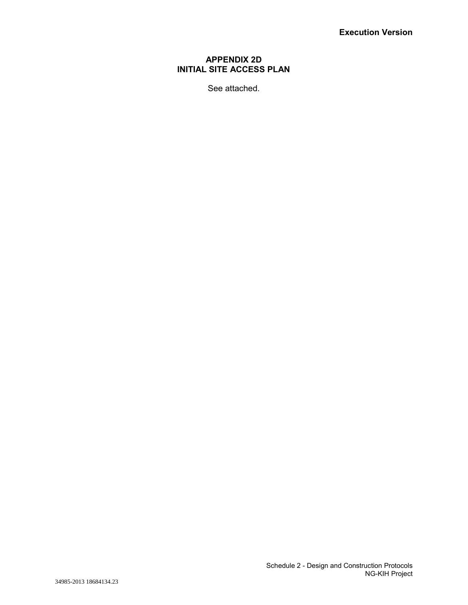# **APPENDIX 2D INITIAL SITE ACCESS PLAN**

See attached.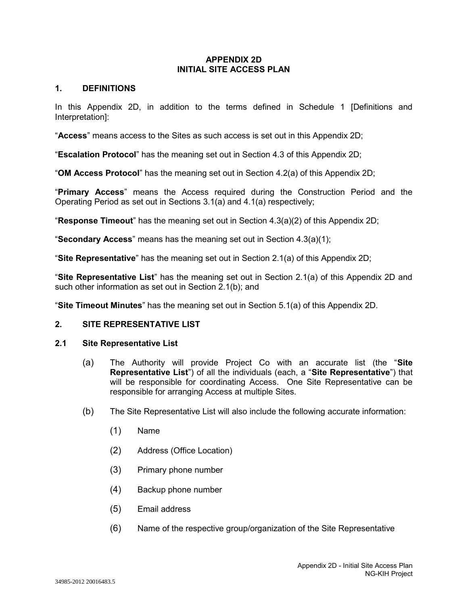### **APPENDIX 2D INITIAL SITE ACCESS PLAN**

## **1. DEFINITIONS**

In this Appendix 2D, in addition to the terms defined in Schedule 1 [Definitions and Interpretation]:

"**Access**" means access to the Sites as such access is set out in this Appendix 2D;

"**Escalation Protocol**" has the meaning set out in Section 4.3 of this Appendix 2D;

"**OM Access Protocol**" has the meaning set out in Section 4.2(a) of this Appendix 2D;

"**Primary Access**" means the Access required during the Construction Period and the Operating Period as set out in Sections 3.1(a) and 4.1(a) respectively;

"**Response Timeout**" has the meaning set out in Section 4.3(a)(2) of this Appendix 2D;

"**Secondary Access**" means has the meaning set out in Section 4.3(a)(1);

"**Site Representative**" has the meaning set out in Section 2.1(a) of this Appendix 2D;

"**Site Representative List**" has the meaning set out in Section 2.1(a) of this Appendix 2D and such other information as set out in Section 2.1(b); and

"**Site Timeout Minutes**" has the meaning set out in Section 5.1(a) of this Appendix 2D.

# **2. SITE REPRESENTATIVE LIST**

#### **2.1 Site Representative List**

- (a) The Authority will provide Project Co with an accurate list (the "**Site Representative List**") of all the individuals (each, a "**Site Representative**") that will be responsible for coordinating Access. One Site Representative can be responsible for arranging Access at multiple Sites.
- (b) The Site Representative List will also include the following accurate information:
	- (1) Name
	- (2) Address (Office Location)
	- (3) Primary phone number
	- (4) Backup phone number
	- (5) Email address
	- (6) Name of the respective group/organization of the Site Representative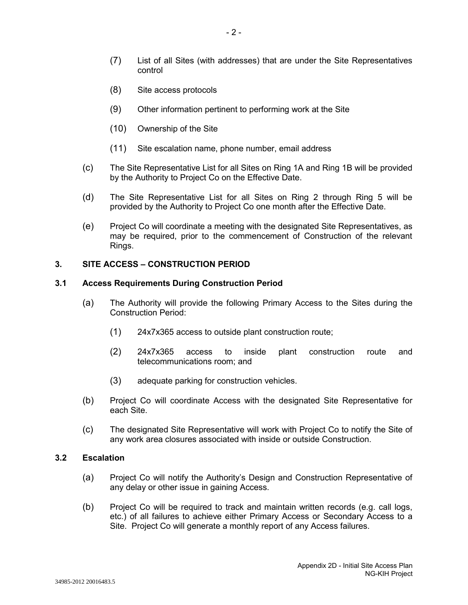- (7) List of all Sites (with addresses) that are under the Site Representatives control
- (8) Site access protocols
- (9) Other information pertinent to performing work at the Site
- (10) Ownership of the Site
- (11) Site escalation name, phone number, email address
- (c) The Site Representative List for all Sites on Ring 1A and Ring 1B will be provided by the Authority to Project Co on the Effective Date.
- (d) The Site Representative List for all Sites on Ring 2 through Ring 5 will be provided by the Authority to Project Co one month after the Effective Date.
- (e) Project Co will coordinate a meeting with the designated Site Representatives, as may be required, prior to the commencement of Construction of the relevant Rings.

## **3. SITE ACCESS – CONSTRUCTION PERIOD**

#### **3.1 Access Requirements During Construction Period**

- (a) The Authority will provide the following Primary Access to the Sites during the Construction Period:
	- (1) 24x7x365 access to outside plant construction route;
	- (2) 24x7x365 access to inside plant construction route and telecommunications room; and
	- (3) adequate parking for construction vehicles.
- (b) Project Co will coordinate Access with the designated Site Representative for each Site.
- (c) The designated Site Representative will work with Project Co to notify the Site of any work area closures associated with inside or outside Construction.

#### **3.2 Escalation**

- (a) Project Co will notify the Authority's Design and Construction Representative of any delay or other issue in gaining Access.
- (b) Project Co will be required to track and maintain written records (e.g. call logs, etc.) of all failures to achieve either Primary Access or Secondary Access to a Site. Project Co will generate a monthly report of any Access failures.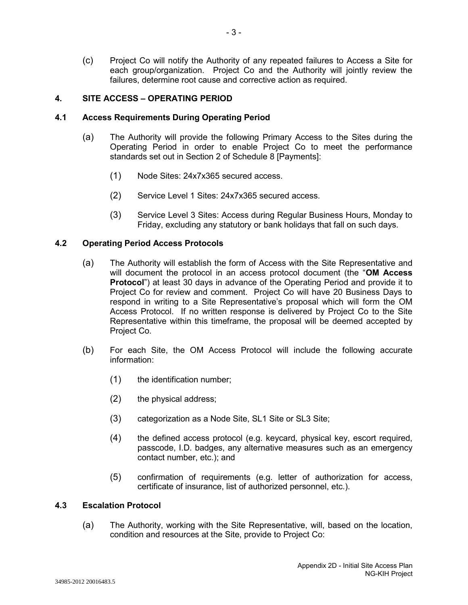(c) Project Co will notify the Authority of any repeated failures to Access a Site for each group/organization. Project Co and the Authority will jointly review the failures, determine root cause and corrective action as required.

#### **4. SITE ACCESS – OPERATING PERIOD**

### **4.1 Access Requirements During Operating Period**

- (a) The Authority will provide the following Primary Access to the Sites during the Operating Period in order to enable Project Co to meet the performance standards set out in Section 2 of Schedule 8 [Payments]:
	- (1) Node Sites: 24x7x365 secured access.
	- (2) Service Level 1 Sites: 24x7x365 secured access.
	- (3) Service Level 3 Sites: Access during Regular Business Hours, Monday to Friday, excluding any statutory or bank holidays that fall on such days.

## **4.2 Operating Period Access Protocols**

- (a) The Authority will establish the form of Access with the Site Representative and will document the protocol in an access protocol document (the "**OM Access Protocol**") at least 30 days in advance of the Operating Period and provide it to Project Co for review and comment. Project Co will have 20 Business Days to respond in writing to a Site Representative's proposal which will form the OM Access Protocol. If no written response is delivered by Project Co to the Site Representative within this timeframe, the proposal will be deemed accepted by Project Co.
- (b) For each Site, the OM Access Protocol will include the following accurate information:
	- (1) the identification number;
	- (2) the physical address;
	- (3) categorization as a Node Site, SL1 Site or SL3 Site;
	- (4) the defined access protocol (e.g. keycard, physical key, escort required, passcode, I.D. badges, any alternative measures such as an emergency contact number, etc.); and
	- (5) confirmation of requirements (e.g. letter of authorization for access, certificate of insurance, list of authorized personnel, etc.).

# **4.3 Escalation Protocol**

(a) The Authority, working with the Site Representative, will, based on the location, condition and resources at the Site, provide to Project Co: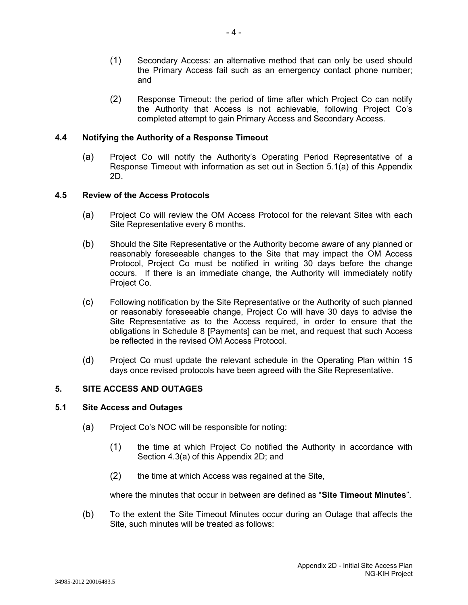- (1) Secondary Access: an alternative method that can only be used should the Primary Access fail such as an emergency contact phone number; and
- (2) Response Timeout: the period of time after which Project Co can notify the Authority that Access is not achievable, following Project Co's completed attempt to gain Primary Access and Secondary Access.

## **4.4 Notifying the Authority of a Response Timeout**

(a) Project Co will notify the Authority's Operating Period Representative of a Response Timeout with information as set out in Section 5.1(a) of this Appendix 2D.

#### **4.5 Review of the Access Protocols**

- (a) Project Co will review the OM Access Protocol for the relevant Sites with each Site Representative every 6 months.
- (b) Should the Site Representative or the Authority become aware of any planned or reasonably foreseeable changes to the Site that may impact the OM Access Protocol, Project Co must be notified in writing 30 days before the change occurs. If there is an immediate change, the Authority will immediately notify Project Co.
- (c) Following notification by the Site Representative or the Authority of such planned or reasonably foreseeable change, Project Co will have 30 days to advise the Site Representative as to the Access required, in order to ensure that the obligations in Schedule 8 [Payments] can be met, and request that such Access be reflected in the revised OM Access Protocol.
- (d) Project Co must update the relevant schedule in the Operating Plan within 15 days once revised protocols have been agreed with the Site Representative.

# **5. SITE ACCESS AND OUTAGES**

#### **5.1 Site Access and Outages**

- (a) Project Co's NOC will be responsible for noting:
	- (1) the time at which Project Co notified the Authority in accordance with Section 4.3(a) of this Appendix 2D; and
	- (2) the time at which Access was regained at the Site,

where the minutes that occur in between are defined as "**Site Timeout Minutes**".

(b) To the extent the Site Timeout Minutes occur during an Outage that affects the Site, such minutes will be treated as follows: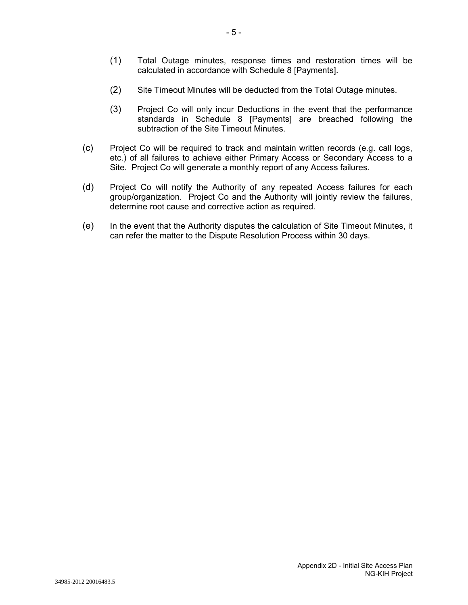- (1) Total Outage minutes, response times and restoration times will be calculated in accordance with Schedule 8 [Payments].
- (2) Site Timeout Minutes will be deducted from the Total Outage minutes.
- (3) Project Co will only incur Deductions in the event that the performance standards in Schedule 8 [Payments] are breached following the subtraction of the Site Timeout Minutes.
- (c) Project Co will be required to track and maintain written records (e.g. call logs, etc.) of all failures to achieve either Primary Access or Secondary Access to a Site. Project Co will generate a monthly report of any Access failures.
- (d) Project Co will notify the Authority of any repeated Access failures for each group/organization. Project Co and the Authority will jointly review the failures, determine root cause and corrective action as required.
- (e) In the event that the Authority disputes the calculation of Site Timeout Minutes, it can refer the matter to the Dispute Resolution Process within 30 days.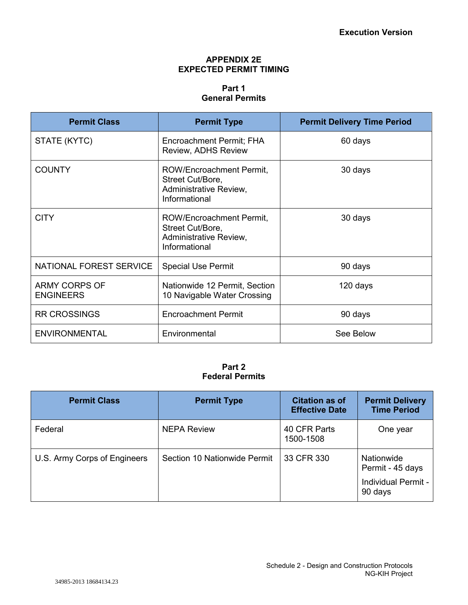## **APPENDIX 2E EXPECTED PERMIT TIMING**

# **Part 1 General Permits**

| <b>Permit Class</b>                      | <b>Permit Type</b>                                                                      | <b>Permit Delivery Time Period</b> |
|------------------------------------------|-----------------------------------------------------------------------------------------|------------------------------------|
| STATE (KYTC)                             | Encroachment Permit; FHA<br>Review, ADHS Review                                         | 60 days                            |
| <b>COUNTY</b>                            | ROW/Encroachment Permit,<br>Street Cut/Bore,<br>Administrative Review,<br>Informational | 30 days                            |
| <b>CITY</b>                              | ROW/Encroachment Permit,<br>Street Cut/Bore,<br>Administrative Review,<br>Informational | 30 days                            |
| NATIONAL FOREST SERVICE                  | <b>Special Use Permit</b>                                                               | 90 days                            |
| <b>ARMY CORPS OF</b><br><b>ENGINEERS</b> | Nationwide 12 Permit, Section<br>10 Navigable Water Crossing                            | 120 days                           |
| <b>RR CROSSINGS</b>                      | <b>Encroachment Permit</b>                                                              | 90 days                            |
| <b>ENVIRONMENTAL</b>                     | Environmental                                                                           | See Below                          |

# **Part 2 Federal Permits**

| <b>Permit Class</b>          | <b>Permit Type</b>           | <b>Citation as of</b><br><b>Effective Date</b> | <b>Permit Delivery</b><br><b>Time Period</b>                     |  |  |
|------------------------------|------------------------------|------------------------------------------------|------------------------------------------------------------------|--|--|
| Federal                      | <b>NEPA Review</b>           | 40 CFR Parts<br>1500-1508                      | One year                                                         |  |  |
| U.S. Army Corps of Engineers | Section 10 Nationwide Permit | 33 CFR 330                                     | Nationwide<br>Permit - 45 days<br>Individual Permit -<br>90 days |  |  |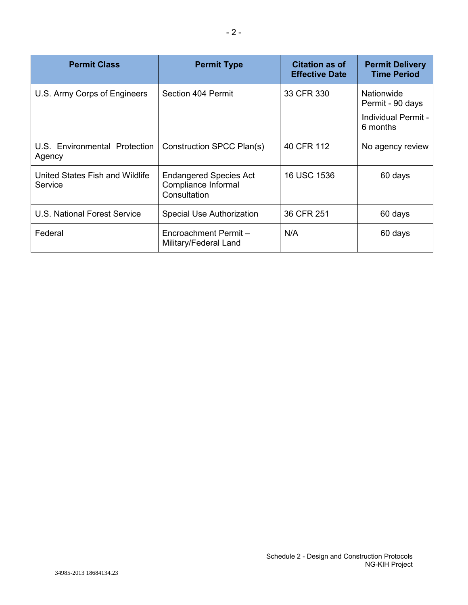| <b>Permit Class</b>                        | <b>Permit Type</b>                                                   | <b>Citation as of</b><br><b>Effective Date</b> | <b>Permit Delivery</b><br><b>Time Period</b>                      |
|--------------------------------------------|----------------------------------------------------------------------|------------------------------------------------|-------------------------------------------------------------------|
| U.S. Army Corps of Engineers               | Section 404 Permit                                                   | 33 CFR 330                                     | Nationwide<br>Permit - 90 days<br>Individual Permit -<br>6 months |
| U.S. Environmental Protection<br>Agency    | Construction SPCC Plan(s)                                            | 40 CFR 112                                     | No agency review                                                  |
| United States Fish and Wildlife<br>Service | <b>Endangered Species Act</b><br>Compliance Informal<br>Consultation | 16 USC 1536                                    | 60 days                                                           |
| U.S. National Forest Service               | Special Use Authorization                                            | 36 CFR 251                                     | 60 days                                                           |
| Federal                                    | Encroachment Permit-<br>Military/Federal Land                        | N/A                                            | 60 days                                                           |